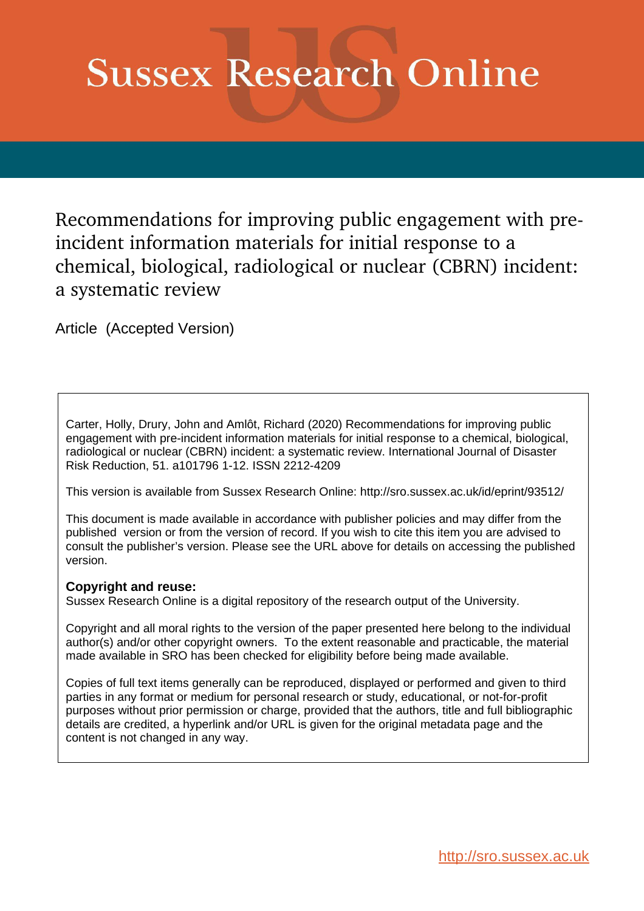# **Sussex Research Online**

Recommendations for improving public engagement with preincident information materials for initial response to a chemical, biological, radiological or nuclear (CBRN) incident: a systematic review

Article (Accepted Version)

Carter, Holly, Drury, John and Amlôt, Richard (2020) Recommendations for improving public engagement with pre-incident information materials for initial response to a chemical, biological, radiological or nuclear (CBRN) incident: a systematic review. International Journal of Disaster Risk Reduction, 51. a101796 1-12. ISSN 2212-4209

This version is available from Sussex Research Online: http://sro.sussex.ac.uk/id/eprint/93512/

This document is made available in accordance with publisher policies and may differ from the published version or from the version of record. If you wish to cite this item you are advised to consult the publisher's version. Please see the URL above for details on accessing the published version.

# **Copyright and reuse:**

Sussex Research Online is a digital repository of the research output of the University.

Copyright and all moral rights to the version of the paper presented here belong to the individual author(s) and/or other copyright owners. To the extent reasonable and practicable, the material made available in SRO has been checked for eligibility before being made available.

Copies of full text items generally can be reproduced, displayed or performed and given to third parties in any format or medium for personal research or study, educational, or not-for-profit purposes without prior permission or charge, provided that the authors, title and full bibliographic details are credited, a hyperlink and/or URL is given for the original metadata page and the content is not changed in any way.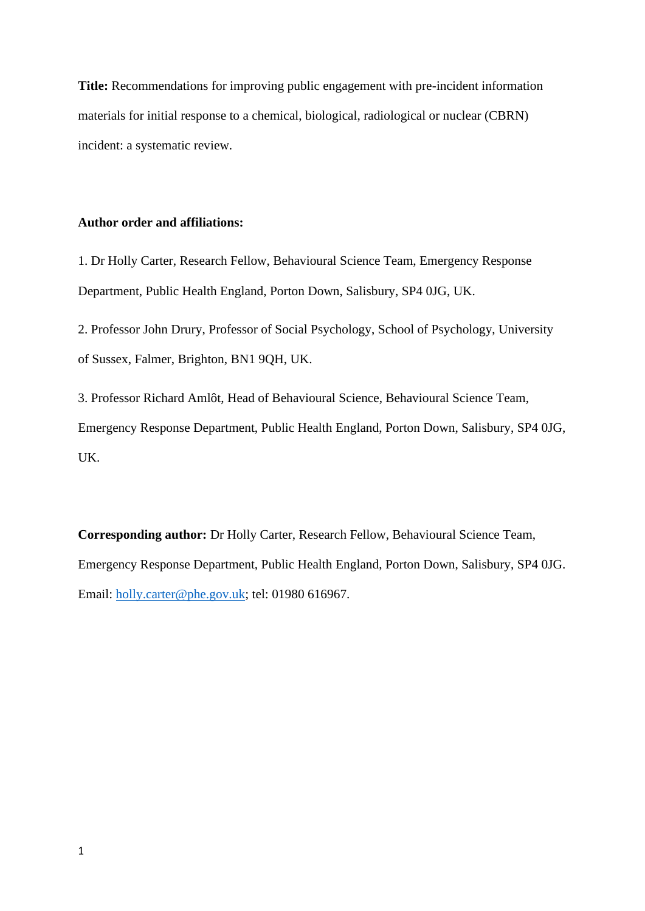**Title:** Recommendations for improving public engagement with pre-incident information materials for initial response to a chemical, biological, radiological or nuclear (CBRN) incident: a systematic review.

# **Author order and affiliations:**

1. Dr Holly Carter, Research Fellow, Behavioural Science Team, Emergency Response Department, Public Health England, Porton Down, Salisbury, SP4 0JG, UK.

2. Professor John Drury, Professor of Social Psychology, School of Psychology, University of Sussex, Falmer, Brighton, BN1 9QH, UK.

3. Professor Richard Amlôt, Head of Behavioural Science, Behavioural Science Team, Emergency Response Department, Public Health England, Porton Down, Salisbury, SP4 0JG, UK.

**Corresponding author:** Dr Holly Carter, Research Fellow, Behavioural Science Team, Emergency Response Department, Public Health England, Porton Down, Salisbury, SP4 0JG. Email: [holly.carter@phe.gov.uk;](mailto:holly.carter@phe.gov.uk) tel: 01980 616967.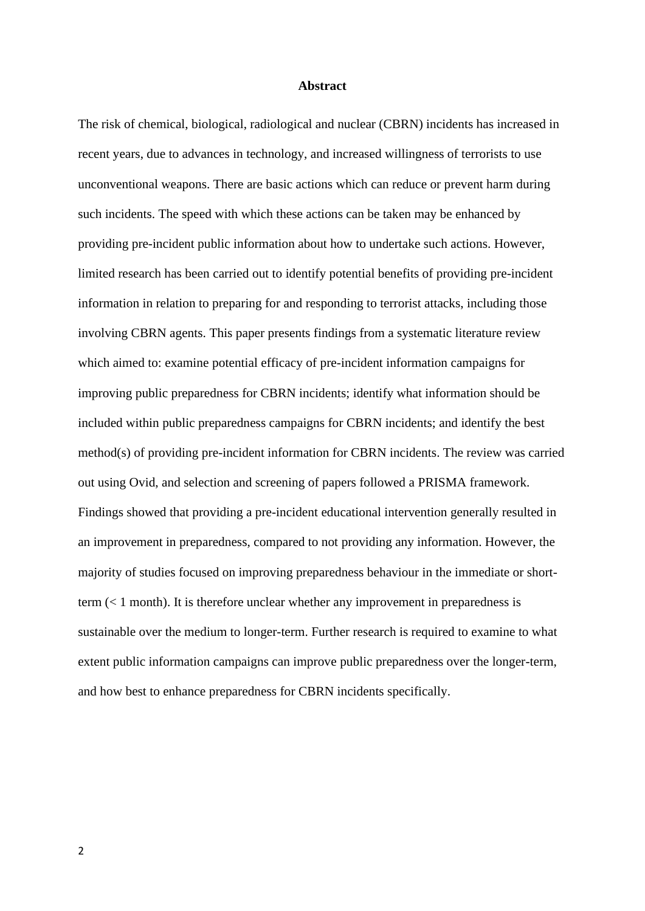#### **Abstract**

The risk of chemical, biological, radiological and nuclear (CBRN) incidents has increased in recent years, due to advances in technology, and increased willingness of terrorists to use unconventional weapons. There are basic actions which can reduce or prevent harm during such incidents. The speed with which these actions can be taken may be enhanced by providing pre-incident public information about how to undertake such actions. However, limited research has been carried out to identify potential benefits of providing pre-incident information in relation to preparing for and responding to terrorist attacks, including those involving CBRN agents. This paper presents findings from a systematic literature review which aimed to: examine potential efficacy of pre-incident information campaigns for improving public preparedness for CBRN incidents; identify what information should be included within public preparedness campaigns for CBRN incidents; and identify the best method(s) of providing pre-incident information for CBRN incidents. The review was carried out using Ovid, and selection and screening of papers followed a PRISMA framework. Findings showed that providing a pre-incident educational intervention generally resulted in an improvement in preparedness, compared to not providing any information. However, the majority of studies focused on improving preparedness behaviour in the immediate or shortterm (< 1 month). It is therefore unclear whether any improvement in preparedness is sustainable over the medium to longer-term. Further research is required to examine to what extent public information campaigns can improve public preparedness over the longer-term, and how best to enhance preparedness for CBRN incidents specifically.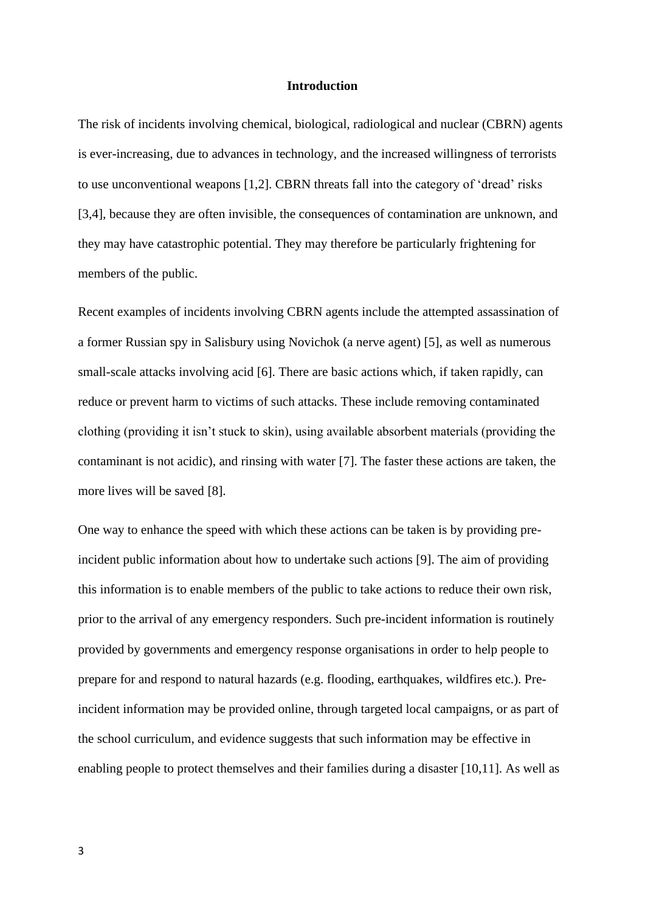#### **Introduction**

The risk of incidents involving chemical, biological, radiological and nuclear (CBRN) agents is ever-increasing, due to advances in technology, and the increased willingness of terrorists to use unconventional weapons [1,2]. CBRN threats fall into the category of 'dread' risks [3,4], because they are often invisible, the consequences of contamination are unknown, and they may have catastrophic potential. They may therefore be particularly frightening for members of the public.

Recent examples of incidents involving CBRN agents include the attempted assassination of a former Russian spy in Salisbury using Novichok (a nerve agent) [5], as well as numerous small-scale attacks involving acid [6]. There are basic actions which, if taken rapidly, can reduce or prevent harm to victims of such attacks. These include removing contaminated clothing (providing it isn't stuck to skin), using available absorbent materials (providing the contaminant is not acidic), and rinsing with water [7]. The faster these actions are taken, the more lives will be saved [8].

One way to enhance the speed with which these actions can be taken is by providing preincident public information about how to undertake such actions [9]. The aim of providing this information is to enable members of the public to take actions to reduce their own risk, prior to the arrival of any emergency responders. Such pre-incident information is routinely provided by governments and emergency response organisations in order to help people to prepare for and respond to natural hazards (e.g. flooding, earthquakes, wildfires etc.). Preincident information may be provided online, through targeted local campaigns, or as part of the school curriculum, and evidence suggests that such information may be effective in enabling people to protect themselves and their families during a disaster [10,11]. As well as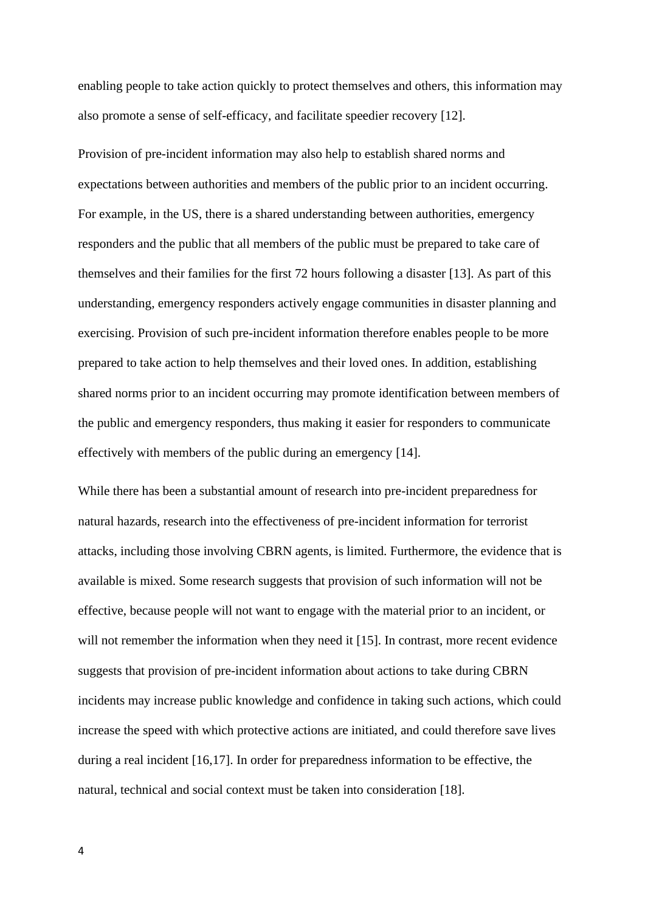enabling people to take action quickly to protect themselves and others, this information may also promote a sense of self-efficacy, and facilitate speedier recovery [12].

Provision of pre-incident information may also help to establish shared norms and expectations between authorities and members of the public prior to an incident occurring. For example, in the US, there is a shared understanding between authorities, emergency responders and the public that all members of the public must be prepared to take care of themselves and their families for the first 72 hours following a disaster [13]. As part of this understanding, emergency responders actively engage communities in disaster planning and exercising. Provision of such pre-incident information therefore enables people to be more prepared to take action to help themselves and their loved ones. In addition, establishing shared norms prior to an incident occurring may promote identification between members of the public and emergency responders, thus making it easier for responders to communicate effectively with members of the public during an emergency [14].

While there has been a substantial amount of research into pre-incident preparedness for natural hazards, research into the effectiveness of pre-incident information for terrorist attacks, including those involving CBRN agents, is limited. Furthermore, the evidence that is available is mixed. Some research suggests that provision of such information will not be effective, because people will not want to engage with the material prior to an incident, or will not remember the information when they need it [15]. In contrast, more recent evidence suggests that provision of pre-incident information about actions to take during CBRN incidents may increase public knowledge and confidence in taking such actions, which could increase the speed with which protective actions are initiated, and could therefore save lives during a real incident [16,17]. In order for preparedness information to be effective, the natural, technical and social context must be taken into consideration [18].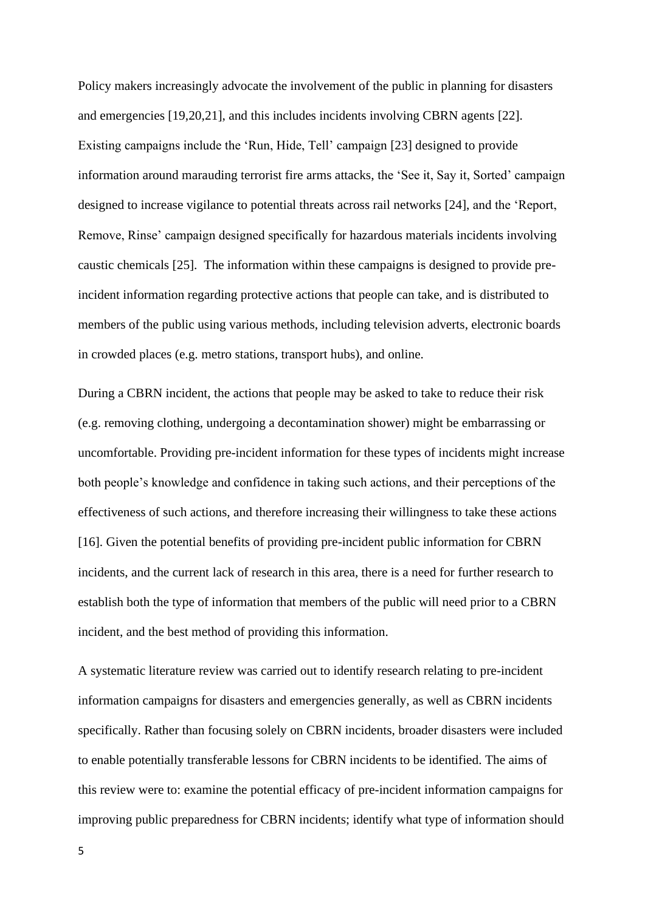Policy makers increasingly advocate the involvement of the public in planning for disasters and emergencies [19,20,21], and this includes incidents involving CBRN agents [22]. Existing campaigns include the 'Run, Hide, Tell' campaign [23] designed to provide information around marauding terrorist fire arms attacks, the 'See it, Say it, Sorted' campaign designed to increase vigilance to potential threats across rail networks [24], and the 'Report, Remove, Rinse' campaign designed specifically for hazardous materials incidents involving caustic chemicals [25]. The information within these campaigns is designed to provide preincident information regarding protective actions that people can take, and is distributed to members of the public using various methods, including television adverts, electronic boards in crowded places (e.g. metro stations, transport hubs), and online.

During a CBRN incident, the actions that people may be asked to take to reduce their risk (e.g. removing clothing, undergoing a decontamination shower) might be embarrassing or uncomfortable. Providing pre-incident information for these types of incidents might increase both people's knowledge and confidence in taking such actions, and their perceptions of the effectiveness of such actions, and therefore increasing their willingness to take these actions [16]. Given the potential benefits of providing pre-incident public information for CBRN incidents, and the current lack of research in this area, there is a need for further research to establish both the type of information that members of the public will need prior to a CBRN incident, and the best method of providing this information.

A systematic literature review was carried out to identify research relating to pre-incident information campaigns for disasters and emergencies generally, as well as CBRN incidents specifically. Rather than focusing solely on CBRN incidents, broader disasters were included to enable potentially transferable lessons for CBRN incidents to be identified. The aims of this review were to: examine the potential efficacy of pre-incident information campaigns for improving public preparedness for CBRN incidents; identify what type of information should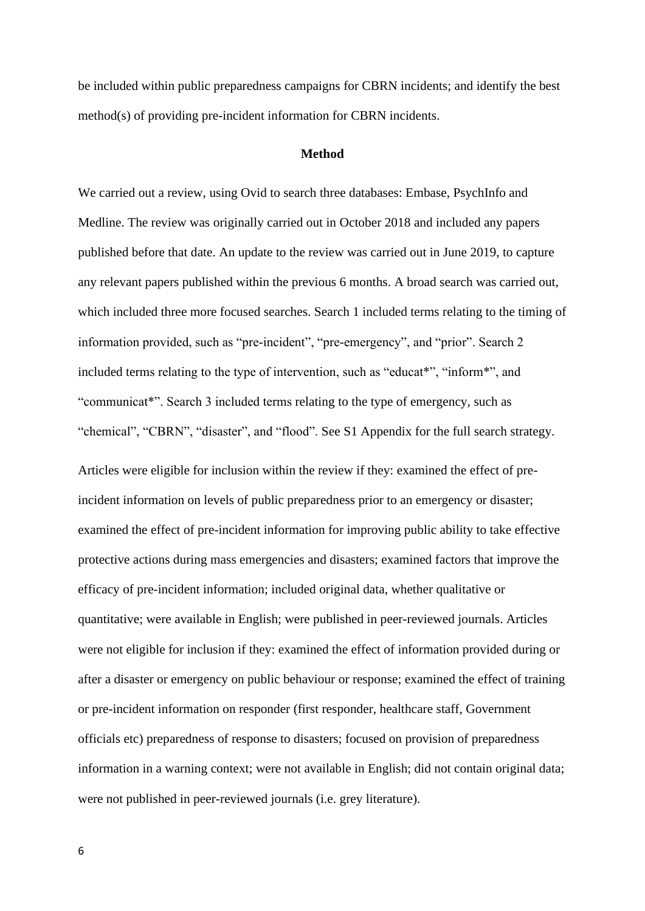be included within public preparedness campaigns for CBRN incidents; and identify the best method(s) of providing pre-incident information for CBRN incidents.

# **Method**

We carried out a review, using Ovid to search three databases: Embase, PsychInfo and Medline. The review was originally carried out in October 2018 and included any papers published before that date. An update to the review was carried out in June 2019, to capture any relevant papers published within the previous 6 months. A broad search was carried out, which included three more focused searches. Search 1 included terms relating to the timing of information provided, such as "pre-incident", "pre-emergency", and "prior". Search 2 included terms relating to the type of intervention, such as "educat\*", "inform\*", and "communicat\*". Search 3 included terms relating to the type of emergency, such as "chemical", "CBRN", "disaster", and "flood". See S1 Appendix for the full search strategy.

Articles were eligible for inclusion within the review if they: examined the effect of preincident information on levels of public preparedness prior to an emergency or disaster; examined the effect of pre-incident information for improving public ability to take effective protective actions during mass emergencies and disasters; examined factors that improve the efficacy of pre-incident information; included original data, whether qualitative or quantitative; were available in English; were published in peer-reviewed journals. Articles were not eligible for inclusion if they: examined the effect of information provided during or after a disaster or emergency on public behaviour or response; examined the effect of training or pre-incident information on responder (first responder, healthcare staff, Government officials etc) preparedness of response to disasters; focused on provision of preparedness information in a warning context; were not available in English; did not contain original data; were not published in peer-reviewed journals (i.e. grey literature).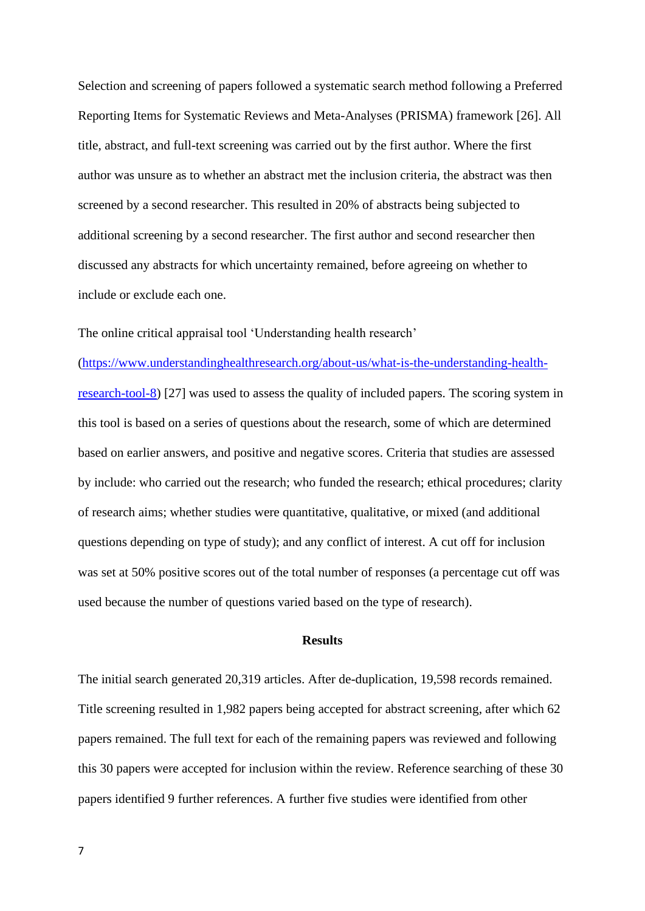Selection and screening of papers followed a systematic search method following a Preferred Reporting Items for Systematic Reviews and Meta-Analyses (PRISMA) framework [26]. All title, abstract, and full-text screening was carried out by the first author. Where the first author was unsure as to whether an abstract met the inclusion criteria, the abstract was then screened by a second researcher. This resulted in 20% of abstracts being subjected to additional screening by a second researcher. The first author and second researcher then discussed any abstracts for which uncertainty remained, before agreeing on whether to include or exclude each one.

The online critical appraisal tool 'Understanding health research'

[\(https://www.understandinghealthresearch.org/about-us/what-is-the-understanding-health](https://www.understandinghealthresearch.org/about-us/what-is-the-understanding-health-research-tool-8)[research-tool-8\)](https://www.understandinghealthresearch.org/about-us/what-is-the-understanding-health-research-tool-8) [27] was used to assess the quality of included papers. The scoring system in this tool is based on a series of questions about the research, some of which are determined based on earlier answers, and positive and negative scores. Criteria that studies are assessed by include: who carried out the research; who funded the research; ethical procedures; clarity of research aims; whether studies were quantitative, qualitative, or mixed (and additional questions depending on type of study); and any conflict of interest. A cut off for inclusion was set at 50% positive scores out of the total number of responses (a percentage cut off was used because the number of questions varied based on the type of research).

# **Results**

The initial search generated 20,319 articles. After de-duplication, 19,598 records remained. Title screening resulted in 1,982 papers being accepted for abstract screening, after which 62 papers remained. The full text for each of the remaining papers was reviewed and following this 30 papers were accepted for inclusion within the review. Reference searching of these 30 papers identified 9 further references. A further five studies were identified from other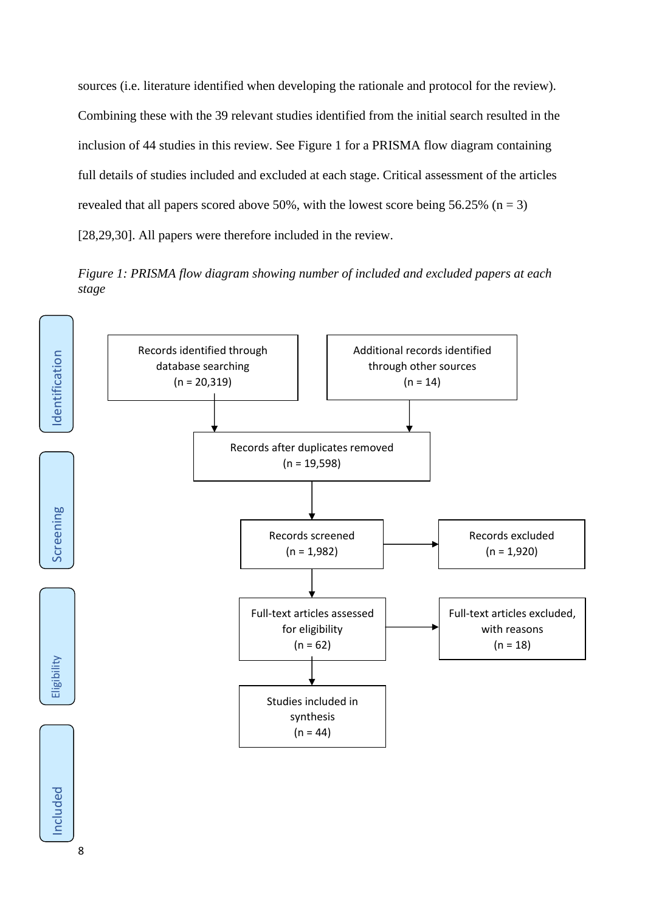sources (i.e. literature identified when developing the rationale and protocol for the review). Combining these with the 39 relevant studies identified from the initial search resulted in the inclusion of 44 studies in this review. See Figure 1 for a PRISMA flow diagram containing full details of studies included and excluded at each stage. Critical assessment of the articles revealed that all papers scored above 50%, with the lowest score being 56.25% ( $n = 3$ ) [28,29,30]. All papers were therefore included in the review.

*Figure 1: PRISMA flow diagram showing number of included and excluded papers at each stage*

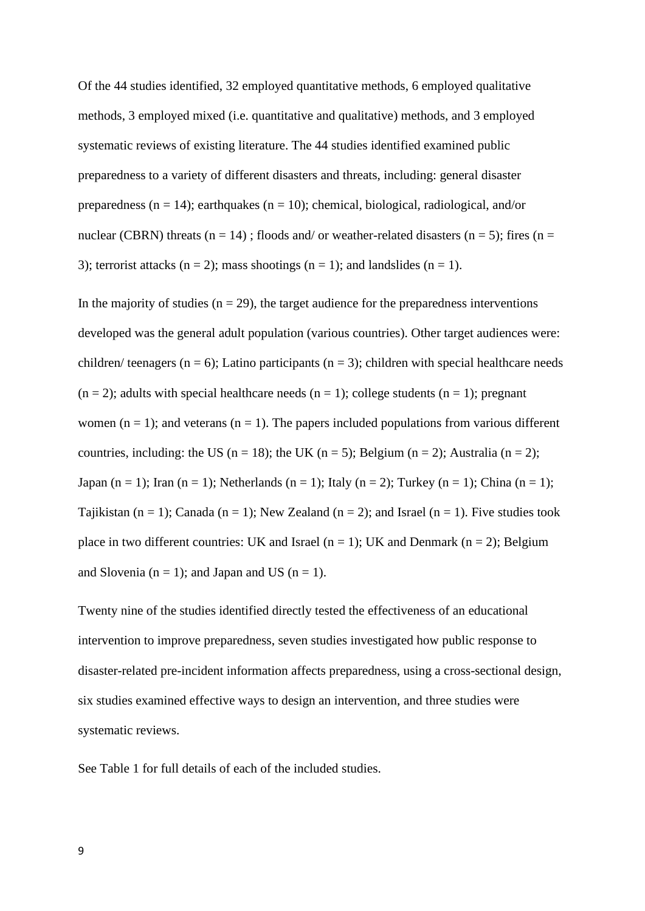Of the 44 studies identified, 32 employed quantitative methods, 6 employed qualitative methods, 3 employed mixed (i.e. quantitative and qualitative) methods, and 3 employed systematic reviews of existing literature. The 44 studies identified examined public preparedness to a variety of different disasters and threats, including: general disaster preparedness ( $n = 14$ ); earthquakes ( $n = 10$ ); chemical, biological, radiological, and/or nuclear (CBRN) threats (n = 14); floods and/ or weather-related disasters (n = 5); fires (n = 3); terrorist attacks ( $n = 2$ ); mass shootings ( $n = 1$ ); and landslides ( $n = 1$ ).

In the majority of studies ( $n = 29$ ), the target audience for the preparedness interventions developed was the general adult population (various countries). Other target audiences were: children/ teenagers ( $n = 6$ ); Latino participants ( $n = 3$ ); children with special healthcare needs  $(n = 2)$ ; adults with special healthcare needs  $(n = 1)$ ; college students  $(n = 1)$ ; pregnant women ( $n = 1$ ); and veterans ( $n = 1$ ). The papers included populations from various different countries, including: the US ( $n = 18$ ); the UK ( $n = 5$ ); Belgium ( $n = 2$ ); Australia ( $n = 2$ ); Japan (n = 1); Iran (n = 1); Netherlands (n = 1); Italy (n = 2); Turkey (n = 1); China (n = 1); Tajikistan (n = 1); Canada (n = 1); New Zealand (n = 2); and Israel (n = 1). Five studies took place in two different countries: UK and Israel ( $n = 1$ ); UK and Denmark ( $n = 2$ ); Belgium and Slovenia ( $n = 1$ ); and Japan and US ( $n = 1$ ).

Twenty nine of the studies identified directly tested the effectiveness of an educational intervention to improve preparedness, seven studies investigated how public response to disaster-related pre-incident information affects preparedness, using a cross-sectional design, six studies examined effective ways to design an intervention, and three studies were systematic reviews.

See Table 1 for full details of each of the included studies.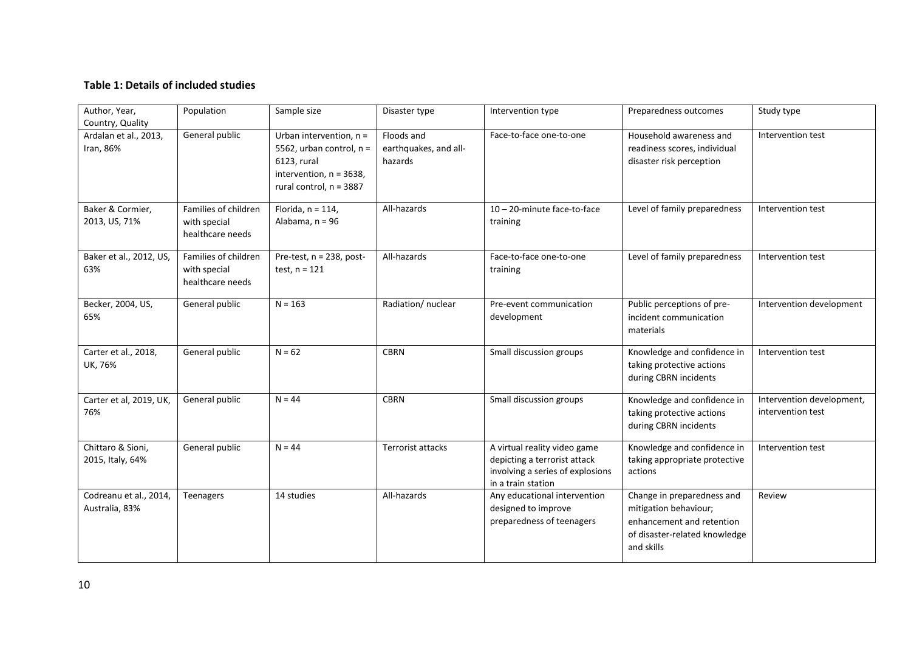# **Table 1: Details of included studies**

| Author, Year,<br>Country, Quality        | Population                                               | Sample size                                                                                                                   | Disaster type                                  | Intervention type                                                                                                      | Preparedness outcomes                                                                                                           | Study type                                     |
|------------------------------------------|----------------------------------------------------------|-------------------------------------------------------------------------------------------------------------------------------|------------------------------------------------|------------------------------------------------------------------------------------------------------------------------|---------------------------------------------------------------------------------------------------------------------------------|------------------------------------------------|
| Ardalan et al., 2013,<br>Iran, 86%       | General public                                           | Urban intervention, n =<br>5562, urban control, n =<br>6123, rural<br>intervention, $n = 3638$ ,<br>rural control, $n = 3887$ | Floods and<br>earthquakes, and all-<br>hazards | Face-to-face one-to-one                                                                                                | Household awareness and<br>readiness scores, individual<br>disaster risk perception                                             | Intervention test                              |
| Baker & Cormier,<br>2013, US, 71%        | Families of children<br>with special<br>healthcare needs | Florida, $n = 114$ ,<br>Alabama, n = 96                                                                                       | All-hazards                                    | 10-20-minute face-to-face<br>training                                                                                  | Level of family preparedness                                                                                                    | Intervention test                              |
| Baker et al., 2012, US,<br>63%           | Families of children<br>with special<br>healthcare needs | Pre-test, n = 238, post-<br>test, $n = 121$                                                                                   | All-hazards                                    | Face-to-face one-to-one<br>training                                                                                    | Level of family preparedness                                                                                                    | Intervention test                              |
| Becker, 2004, US,<br>65%                 | General public                                           | $N = 163$                                                                                                                     | Radiation/ nuclear                             | Pre-event communication<br>development                                                                                 | Public perceptions of pre-<br>incident communication<br>materials                                                               | Intervention development                       |
| Carter et al., 2018,<br>UK, 76%          | General public                                           | $N = 62$                                                                                                                      | <b>CBRN</b>                                    | Small discussion groups                                                                                                | Knowledge and confidence in<br>taking protective actions<br>during CBRN incidents                                               | Intervention test                              |
| Carter et al, 2019, UK,<br>76%           | General public                                           | $N = 44$                                                                                                                      | <b>CBRN</b>                                    | Small discussion groups                                                                                                | Knowledge and confidence in<br>taking protective actions<br>during CBRN incidents                                               | Intervention development,<br>intervention test |
| Chittaro & Sioni,<br>2015, Italy, 64%    | General public                                           | $N = 44$                                                                                                                      | <b>Terrorist attacks</b>                       | A virtual reality video game<br>depicting a terrorist attack<br>involving a series of explosions<br>in a train station | Knowledge and confidence in<br>taking appropriate protective<br>actions                                                         | Intervention test                              |
| Codreanu et al., 2014,<br>Australia, 83% | <b>Teenagers</b>                                         | 14 studies                                                                                                                    | All-hazards                                    | Any educational intervention<br>designed to improve<br>preparedness of teenagers                                       | Change in preparedness and<br>mitigation behaviour;<br>enhancement and retention<br>of disaster-related knowledge<br>and skills | Review                                         |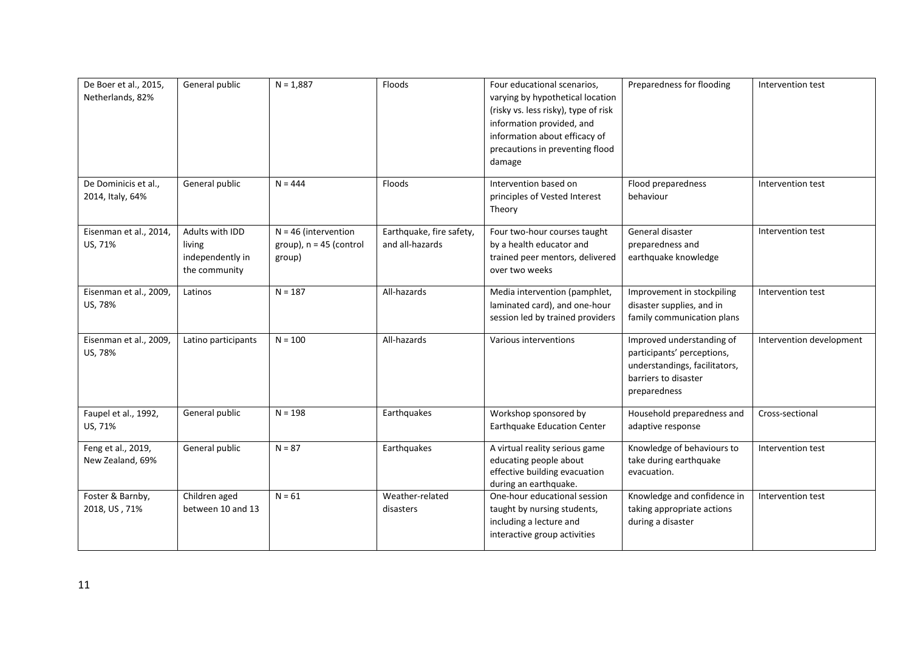| De Boer et al., 2015,<br>Netherlands, 82% | General public                                                 | $N = 1,887$                                                   | Floods                                      | Four educational scenarios,<br>varying by hypothetical location<br>(risky vs. less risky), type of risk<br>information provided, and<br>information about efficacy of<br>precautions in preventing flood<br>damage | Preparedness for flooding                                                                                                        | Intervention test        |
|-------------------------------------------|----------------------------------------------------------------|---------------------------------------------------------------|---------------------------------------------|--------------------------------------------------------------------------------------------------------------------------------------------------------------------------------------------------------------------|----------------------------------------------------------------------------------------------------------------------------------|--------------------------|
| De Dominicis et al.,<br>2014, Italy, 64%  | General public                                                 | $N = 444$                                                     | Floods                                      | Intervention based on<br>principles of Vested Interest<br>Theory                                                                                                                                                   | Flood preparedness<br>behaviour                                                                                                  | Intervention test        |
| Eisenman et al., 2014,<br>US, 71%         | Adults with IDD<br>living<br>independently in<br>the community | $N = 46$ (intervention<br>group), $n = 45$ (control<br>group) | Earthquake, fire safety,<br>and all-hazards | Four two-hour courses taught<br>by a health educator and<br>trained peer mentors, delivered<br>over two weeks                                                                                                      | General disaster<br>preparedness and<br>earthquake knowledge                                                                     | Intervention test        |
| Eisenman et al., 2009,<br>US, 78%         | Latinos                                                        | $N = 187$                                                     | All-hazards                                 | Media intervention (pamphlet,<br>laminated card), and one-hour<br>session led by trained providers                                                                                                                 | Improvement in stockpiling<br>disaster supplies, and in<br>family communication plans                                            | Intervention test        |
| Eisenman et al., 2009,<br>US, 78%         | Latino participants                                            | $N = 100$                                                     | All-hazards                                 | Various interventions                                                                                                                                                                                              | Improved understanding of<br>participants' perceptions,<br>understandings, facilitators,<br>barriers to disaster<br>preparedness | Intervention development |
| Faupel et al., 1992,<br>US, 71%           | General public                                                 | $N = 198$                                                     | Earthquakes                                 | Workshop sponsored by<br>Earthquake Education Center                                                                                                                                                               | Household preparedness and<br>adaptive response                                                                                  | Cross-sectional          |
| Feng et al., 2019,<br>New Zealand, 69%    | General public                                                 | $N = 87$                                                      | Earthquakes                                 | A virtual reality serious game<br>educating people about<br>effective building evacuation<br>during an earthquake.                                                                                                 | Knowledge of behaviours to<br>take during earthquake<br>evacuation.                                                              | Intervention test        |
| Foster & Barnby,<br>2018, US, 71%         | Children aged<br>between 10 and 13                             | $N = 61$                                                      | Weather-related<br>disasters                | One-hour educational session<br>taught by nursing students,<br>including a lecture and<br>interactive group activities                                                                                             | Knowledge and confidence in<br>taking appropriate actions<br>during a disaster                                                   | Intervention test        |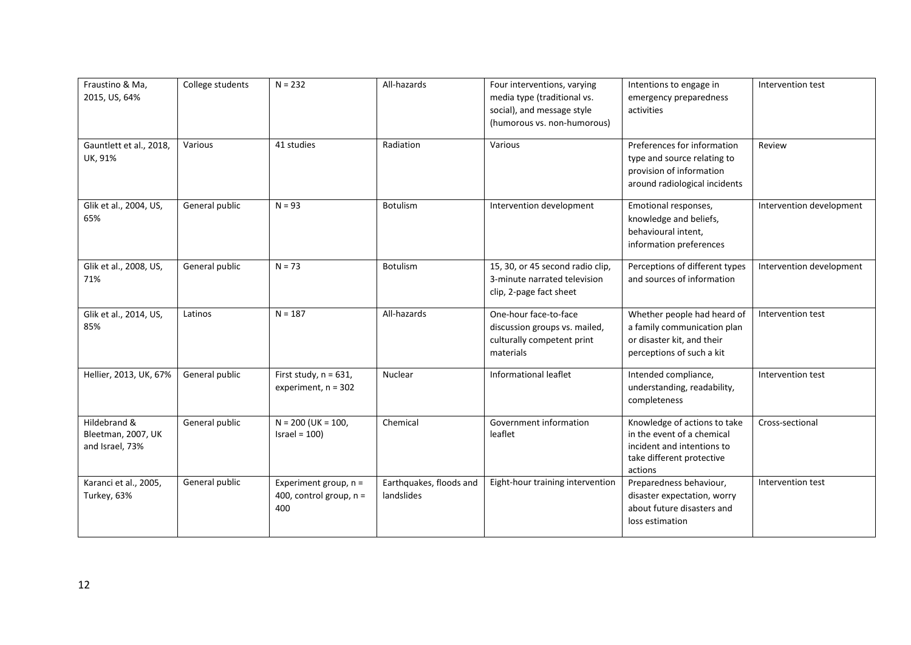| Fraustino & Ma,<br>2015, US, 64%<br>Gauntlett et al., 2018, | College students<br>Various | $N = 232$<br>41 studies                                     | All-hazards<br>Radiation              | Four interventions, varying<br>media type (traditional vs.<br>social), and message style<br>(humorous vs. non-humorous)<br>Various | Intentions to engage in<br>emergency preparedness<br>activities<br>Preferences for information                                   | Intervention test<br>Review |
|-------------------------------------------------------------|-----------------------------|-------------------------------------------------------------|---------------------------------------|------------------------------------------------------------------------------------------------------------------------------------|----------------------------------------------------------------------------------------------------------------------------------|-----------------------------|
| UK, 91%                                                     |                             |                                                             |                                       |                                                                                                                                    | type and source relating to<br>provision of information<br>around radiological incidents                                         |                             |
| Glik et al., 2004, US,<br>65%                               | General public              | $N = 93$                                                    | Botulism                              | Intervention development                                                                                                           | Emotional responses,<br>knowledge and beliefs,<br>behavioural intent,<br>information preferences                                 | Intervention development    |
| Glik et al., 2008, US,<br>71%                               | General public              | $N = 73$                                                    | Botulism                              | 15, 30, or 45 second radio clip,<br>3-minute narrated television<br>clip, 2-page fact sheet                                        | Perceptions of different types<br>and sources of information                                                                     | Intervention development    |
| Glik et al., 2014, US,<br>85%                               | Latinos                     | $N = 187$                                                   | All-hazards                           | One-hour face-to-face<br>discussion groups vs. mailed,<br>culturally competent print<br>materials                                  | Whether people had heard of<br>a family communication plan<br>or disaster kit, and their<br>perceptions of such a kit            | Intervention test           |
| Hellier, 2013, UK, 67%                                      | General public              | First study, $n = 631$ ,<br>experiment, $n = 302$           | Nuclear                               | Informational leaflet                                                                                                              | Intended compliance,<br>understanding, readability,<br>completeness                                                              | Intervention test           |
| Hildebrand &<br>Bleetman, 2007, UK<br>and Israel, 73%       | General public              | $N = 200$ (UK = 100,<br>Israel = $100$ )                    | Chemical                              | Government information<br>leaflet                                                                                                  | Knowledge of actions to take<br>in the event of a chemical<br>incident and intentions to<br>take different protective<br>actions | Cross-sectional             |
| Karanci et al., 2005,<br>Turkey, 63%                        | General public              | Experiment group, $n =$<br>400, control group, $n =$<br>400 | Earthquakes, floods and<br>landslides | Eight-hour training intervention                                                                                                   | Preparedness behaviour,<br>disaster expectation, worry<br>about future disasters and<br>loss estimation                          | Intervention test           |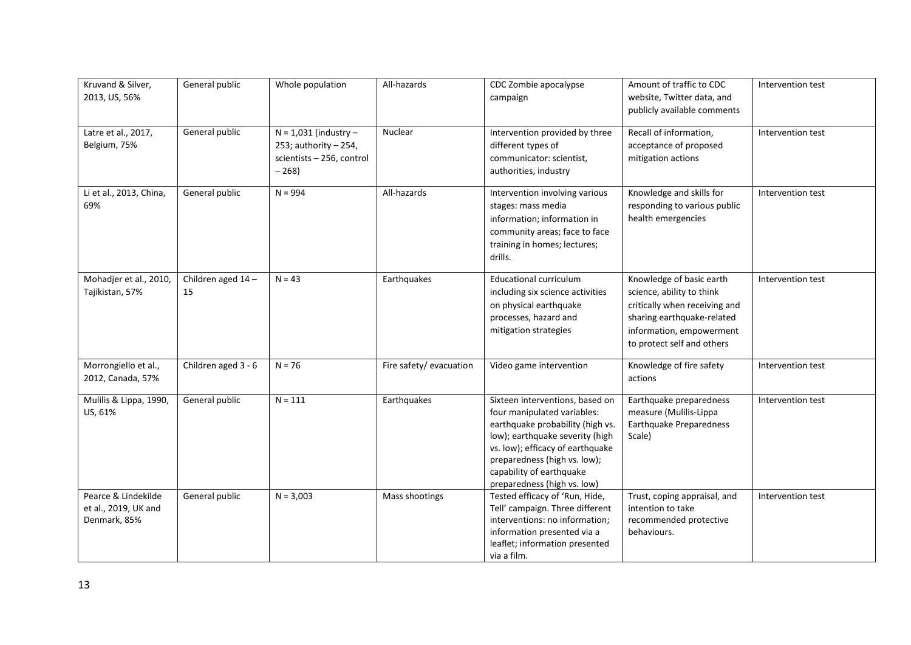| Kruvand & Silver,<br>2013, US, 56%                          | General public          | Whole population                                                                          | All-hazards             | CDC Zombie apocalypse<br>campaign                                                                                                                                                                                                                                    | Amount of traffic to CDC<br>website, Twitter data, and<br>publicly available comments                                                                                          | Intervention test |
|-------------------------------------------------------------|-------------------------|-------------------------------------------------------------------------------------------|-------------------------|----------------------------------------------------------------------------------------------------------------------------------------------------------------------------------------------------------------------------------------------------------------------|--------------------------------------------------------------------------------------------------------------------------------------------------------------------------------|-------------------|
| Latre et al., 2017,<br>Belgium, 75%                         | General public          | $N = 1,031$ (industry -<br>253; authority $-254$ ,<br>scientists - 256, control<br>$-268$ | Nuclear                 | Intervention provided by three<br>different types of<br>communicator: scientist,<br>authorities, industry                                                                                                                                                            | Recall of information,<br>acceptance of proposed<br>mitigation actions                                                                                                         | Intervention test |
| Li et al., 2013, China,<br>69%                              | General public          | $N = 994$                                                                                 | All-hazards             | Intervention involving various<br>stages: mass media<br>information; information in<br>community areas; face to face<br>training in homes; lectures;<br>drills.                                                                                                      | Knowledge and skills for<br>responding to various public<br>health emergencies                                                                                                 | Intervention test |
| Mohadjer et al., 2010,<br>Tajikistan, 57%                   | Children aged 14-<br>15 | $N = 43$                                                                                  | Earthquakes             | <b>Educational curriculum</b><br>including six science activities<br>on physical earthquake<br>processes, hazard and<br>mitigation strategies                                                                                                                        | Knowledge of basic earth<br>science, ability to think<br>critically when receiving and<br>sharing earthquake-related<br>information, empowerment<br>to protect self and others | Intervention test |
| Morrongiello et al.,<br>2012, Canada, 57%                   | Children aged 3 - 6     | $N = 76$                                                                                  | Fire safety/ evacuation | Video game intervention                                                                                                                                                                                                                                              | Knowledge of fire safety<br>actions                                                                                                                                            | Intervention test |
| Mulilis & Lippa, 1990,<br>US, 61%                           | General public          | $N = 111$                                                                                 | Earthquakes             | Sixteen interventions, based on<br>four manipulated variables:<br>earthquake probability (high vs.<br>low); earthquake severity (high<br>vs. low); efficacy of earthquake<br>preparedness (high vs. low);<br>capability of earthquake<br>preparedness (high vs. low) | Earthquake preparedness<br>measure (Mulilis-Lippa<br>Earthquake Preparedness<br>Scale)                                                                                         | Intervention test |
| Pearce & Lindekilde<br>et al., 2019, UK and<br>Denmark, 85% | General public          | $N = 3,003$                                                                               | Mass shootings          | Tested efficacy of 'Run, Hide,<br>Tell' campaign. Three different<br>interventions: no information;<br>information presented via a<br>leaflet; information presented<br>via a film.                                                                                  | Trust, coping appraisal, and<br>intention to take<br>recommended protective<br>behaviours.                                                                                     | Intervention test |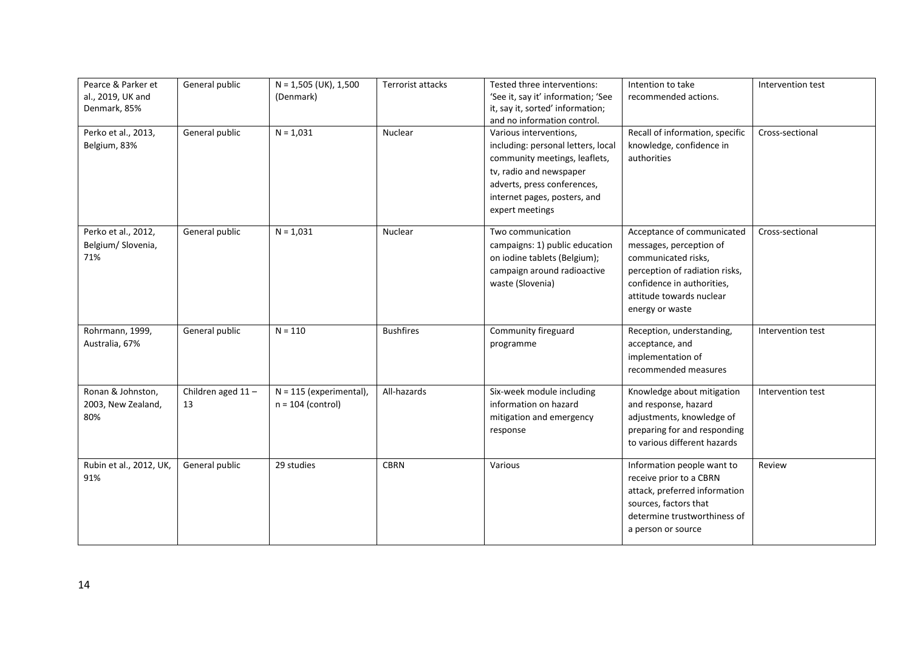| Pearce & Parker et<br>al., 2019, UK and<br>Denmark, 85% | General public          | $N = 1,505$ (UK), 1,500<br>(Denmark)             | Terrorist attacks | Tested three interventions:<br>'See it, say it' information; 'See<br>it, say it, sorted' information;<br>and no information control.                                                                       | Intention to take<br>recommended actions.                                                                                                                                                   | Intervention test |
|---------------------------------------------------------|-------------------------|--------------------------------------------------|-------------------|------------------------------------------------------------------------------------------------------------------------------------------------------------------------------------------------------------|---------------------------------------------------------------------------------------------------------------------------------------------------------------------------------------------|-------------------|
| Perko et al., 2013,<br>Belgium, 83%                     | General public          | $N = 1,031$                                      | Nuclear           | Various interventions,<br>including: personal letters, local<br>community meetings, leaflets,<br>tv, radio and newspaper<br>adverts, press conferences,<br>internet pages, posters, and<br>expert meetings | Recall of information, specific<br>knowledge, confidence in<br>authorities                                                                                                                  | Cross-sectional   |
| Perko et al., 2012,<br>Belgium/ Slovenia,<br>71%        | General public          | $N = 1,031$                                      | Nuclear           | Two communication<br>campaigns: 1) public education<br>on iodine tablets (Belgium);<br>campaign around radioactive<br>waste (Slovenia)                                                                     | Acceptance of communicated<br>messages, perception of<br>communicated risks,<br>perception of radiation risks,<br>confidence in authorities,<br>attitude towards nuclear<br>energy or waste | Cross-sectional   |
| Rohrmann, 1999,<br>Australia, 67%                       | General public          | $N = 110$                                        | <b>Bushfires</b>  | Community fireguard<br>programme                                                                                                                                                                           | Reception, understanding,<br>acceptance, and<br>implementation of<br>recommended measures                                                                                                   | Intervention test |
| Ronan & Johnston,<br>2003, New Zealand,<br>80%          | Children aged 11-<br>13 | $N = 115$ (experimental),<br>$n = 104$ (control) | All-hazards       | Six-week module including<br>information on hazard<br>mitigation and emergency<br>response                                                                                                                 | Knowledge about mitigation<br>and response, hazard<br>adjustments, knowledge of<br>preparing for and responding<br>to various different hazards                                             | Intervention test |
| Rubin et al., 2012, UK,<br>91%                          | General public          | 29 studies                                       | <b>CBRN</b>       | Various                                                                                                                                                                                                    | Information people want to<br>receive prior to a CBRN<br>attack, preferred information<br>sources, factors that<br>determine trustworthiness of<br>a person or source                       | Review            |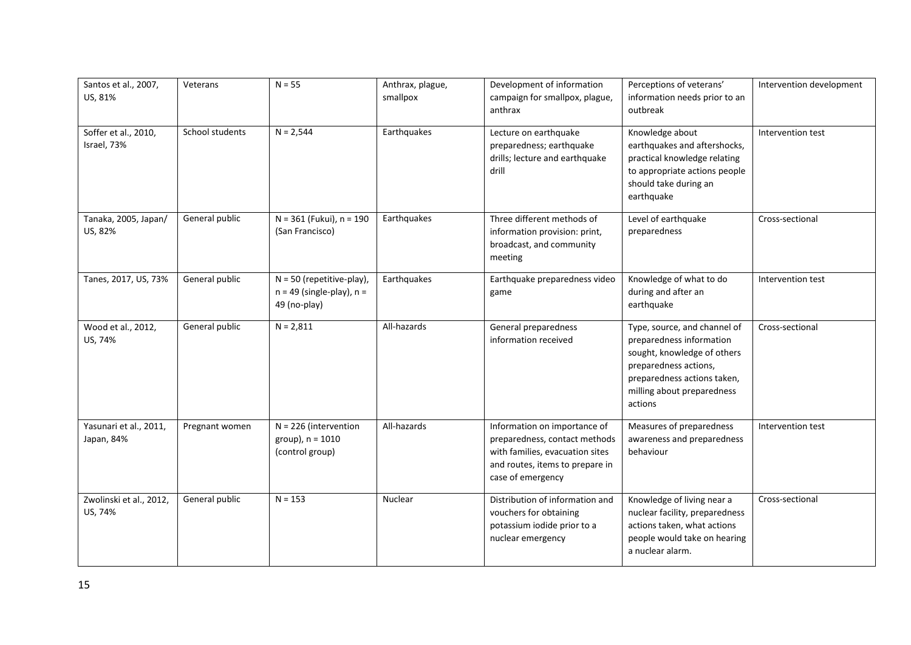| Santos et al., 2007,<br>US, 81%      | Veterans        | $N = 55$                                                                     | Anthrax, plague,<br>smallpox | Development of information<br>campaign for smallpox, plague,<br>anthrax                                                                                  | Perceptions of veterans'<br>information needs prior to an<br>outbreak                                                                                                                    | Intervention development |
|--------------------------------------|-----------------|------------------------------------------------------------------------------|------------------------------|----------------------------------------------------------------------------------------------------------------------------------------------------------|------------------------------------------------------------------------------------------------------------------------------------------------------------------------------------------|--------------------------|
| Soffer et al., 2010,<br>Israel, 73%  | School students | $N = 2,544$                                                                  | Earthquakes                  | Lecture on earthquake<br>preparedness; earthquake<br>drills; lecture and earthquake<br>drill                                                             | Knowledge about<br>earthquakes and aftershocks,<br>practical knowledge relating<br>to appropriate actions people<br>should take during an<br>earthquake                                  | Intervention test        |
| Tanaka, 2005, Japan/<br>US, 82%      | General public  | N = 361 (Fukui), n = 190<br>(San Francisco)                                  | Earthquakes                  | Three different methods of<br>information provision: print,<br>broadcast, and community<br>meeting                                                       | Level of earthquake<br>preparedness                                                                                                                                                      | Cross-sectional          |
| Tanes, 2017, US, 73%                 | General public  | $N = 50$ (repetitive-play),<br>$n = 49$ (single-play), $n =$<br>49 (no-play) | Earthquakes                  | Earthquake preparedness video<br>game                                                                                                                    | Knowledge of what to do<br>during and after an<br>earthquake                                                                                                                             | Intervention test        |
| Wood et al., 2012,<br>US, 74%        | General public  | $N = 2,811$                                                                  | All-hazards                  | General preparedness<br>information received                                                                                                             | Type, source, and channel of<br>preparedness information<br>sought, knowledge of others<br>preparedness actions,<br>preparedness actions taken,<br>milling about preparedness<br>actions | Cross-sectional          |
| Yasunari et al., 2011,<br>Japan, 84% | Pregnant women  | $N = 226$ (intervention<br>group), $n = 1010$<br>(control group)             | All-hazards                  | Information on importance of<br>preparedness, contact methods<br>with families, evacuation sites<br>and routes, items to prepare in<br>case of emergency | Measures of preparedness<br>awareness and preparedness<br>behaviour                                                                                                                      | Intervention test        |
| Zwolinski et al., 2012,<br>US, 74%   | General public  | $N = 153$                                                                    | Nuclear                      | Distribution of information and<br>vouchers for obtaining<br>potassium iodide prior to a<br>nuclear emergency                                            | Knowledge of living near a<br>nuclear facility, preparedness<br>actions taken, what actions<br>people would take on hearing<br>a nuclear alarm.                                          | Cross-sectional          |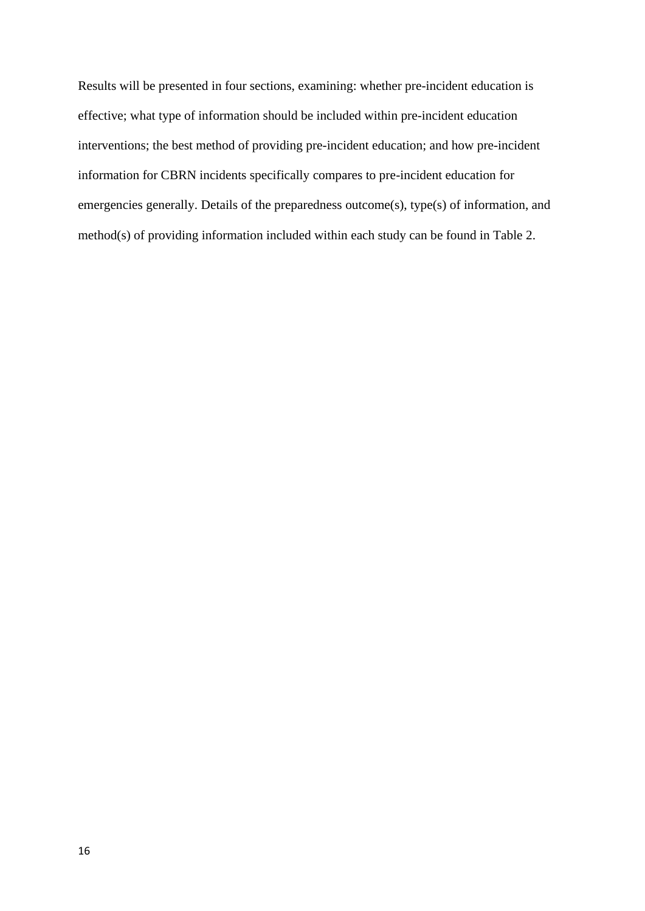Results will be presented in four sections, examining: whether pre-incident education is effective; what type of information should be included within pre-incident education interventions; the best method of providing pre-incident education; and how pre-incident information for CBRN incidents specifically compares to pre-incident education for emergencies generally. Details of the preparedness outcome(s), type(s) of information, and method(s) of providing information included within each study can be found in Table 2.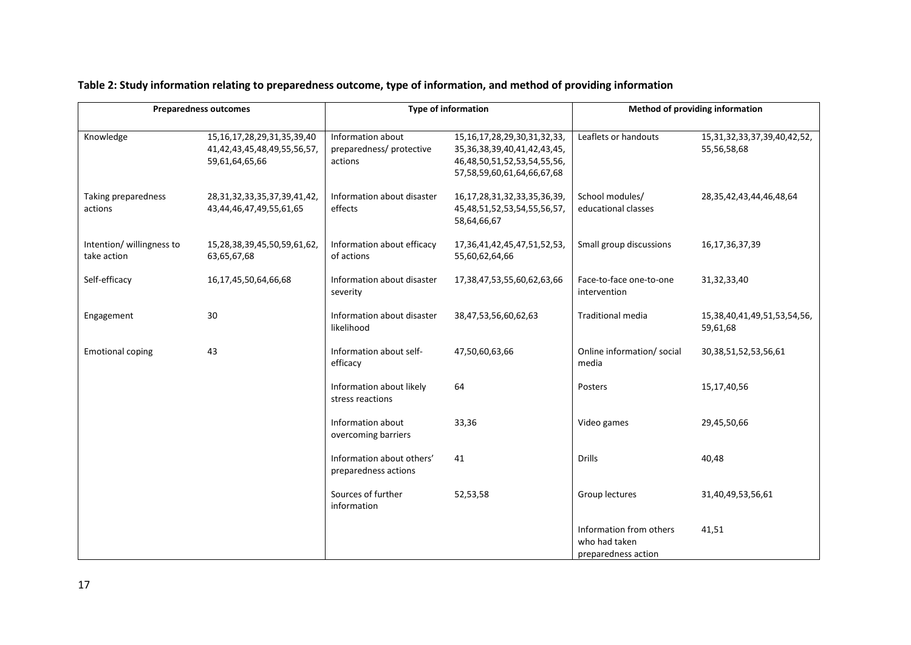|                                          | <b>Preparedness outcomes</b>                                                        |                                                          | <b>Type of information</b>                                                                                                              | Method of providing information                                 |                                                    |
|------------------------------------------|-------------------------------------------------------------------------------------|----------------------------------------------------------|-----------------------------------------------------------------------------------------------------------------------------------------|-----------------------------------------------------------------|----------------------------------------------------|
| Knowledge                                | 15, 16, 17, 28, 29, 31, 35, 39, 40<br>41,42,43,45,48,49,55,56,57,<br>59,61,64,65,66 | Information about<br>preparedness/ protective<br>actions | 15, 16, 17, 28, 29, 30, 31, 32, 33,<br>35, 36, 38, 39, 40, 41, 42, 43, 45,<br>46,48,50,51,52,53,54,55,56,<br>57,58,59,60,61,64,66,67,68 | Leaflets or handouts                                            | 15, 31, 32, 33, 37, 39, 40, 42, 52,<br>55,56,58,68 |
| Taking preparedness<br>actions           | 28, 31, 32, 33, 35, 37, 39, 41, 42,<br>43,44,46,47,49,55,61,65                      | Information about disaster<br>effects                    | 16, 17, 28, 31, 32, 33, 35, 36, 39,<br>45,48,51,52,53,54,55,56,57,<br>58,64,66,67                                                       | School modules/<br>educational classes                          | 28, 35, 42, 43, 44, 46, 48, 64                     |
| Intention/ willingness to<br>take action | 15,28,38,39,45,50,59,61,62,<br>63,65,67,68                                          | Information about efficacy<br>of actions                 | 17,36,41,42,45,47,51,52,53,<br>55,60,62,64,66                                                                                           | Small group discussions                                         | 16,17,36,37,39                                     |
| Self-efficacy                            | 16,17,45,50,64,66,68                                                                | Information about disaster<br>severity                   | 17,38,47,53,55,60,62,63,66                                                                                                              | Face-to-face one-to-one<br>intervention                         | 31,32,33,40                                        |
| Engagement                               | 30                                                                                  | Information about disaster<br>likelihood                 | 38,47,53,56,60,62,63                                                                                                                    | <b>Traditional media</b>                                        | 15,38,40,41,49,51,53,54,56,<br>59,61,68            |
| <b>Emotional coping</b>                  | 43                                                                                  | Information about self-<br>efficacy                      | 47,50,60,63,66                                                                                                                          | Online information/ social<br>media                             | 30, 38, 51, 52, 53, 56, 61                         |
|                                          |                                                                                     | Information about likely<br>stress reactions             | 64                                                                                                                                      | Posters                                                         | 15,17,40,56                                        |
|                                          |                                                                                     | Information about<br>overcoming barriers                 | 33,36                                                                                                                                   | Video games                                                     | 29,45,50,66                                        |
|                                          |                                                                                     | Information about others'<br>preparedness actions        | 41                                                                                                                                      | <b>Drills</b>                                                   | 40,48                                              |
|                                          |                                                                                     | Sources of further<br>information                        | 52,53,58                                                                                                                                | Group lectures                                                  | 31,40,49,53,56,61                                  |
|                                          |                                                                                     |                                                          |                                                                                                                                         | Information from others<br>who had taken<br>preparedness action | 41,51                                              |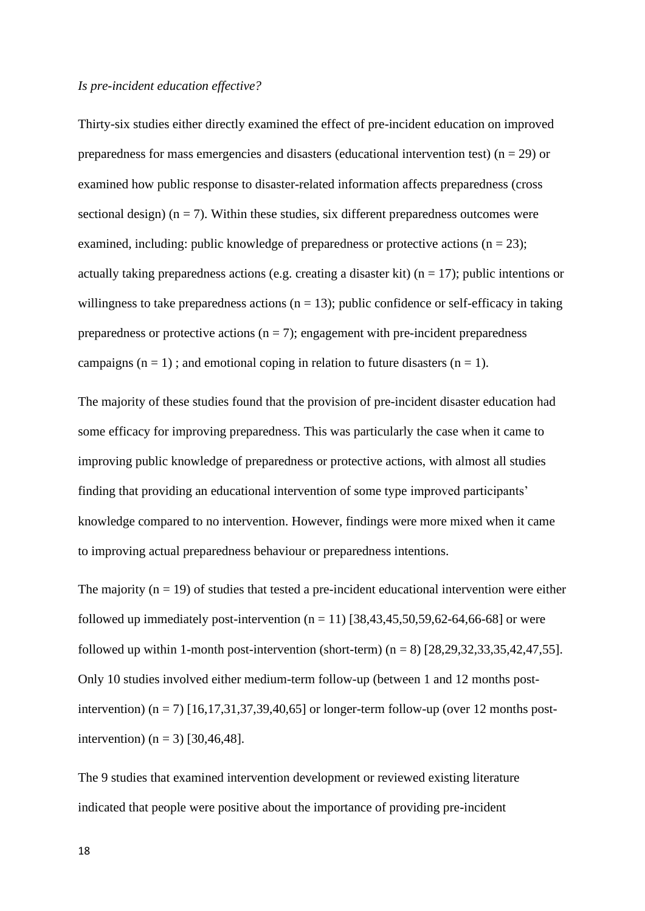#### *Is pre-incident education effective?*

Thirty-six studies either directly examined the effect of pre-incident education on improved preparedness for mass emergencies and disasters (educational intervention test) ( $n = 29$ ) or examined how public response to disaster-related information affects preparedness (cross sectional design) ( $n = 7$ ). Within these studies, six different preparedness outcomes were examined, including: public knowledge of preparedness or protective actions  $(n = 23)$ ; actually taking preparedness actions (e.g. creating a disaster kit) ( $n = 17$ ); public intentions or willingness to take preparedness actions  $(n = 13)$ ; public confidence or self-efficacy in taking preparedness or protective actions ( $n = 7$ ); engagement with pre-incident preparedness campaigns  $(n = 1)$ ; and emotional coping in relation to future disasters  $(n = 1)$ .

The majority of these studies found that the provision of pre-incident disaster education had some efficacy for improving preparedness. This was particularly the case when it came to improving public knowledge of preparedness or protective actions, with almost all studies finding that providing an educational intervention of some type improved participants' knowledge compared to no intervention. However, findings were more mixed when it came to improving actual preparedness behaviour or preparedness intentions.

The majority ( $n = 19$ ) of studies that tested a pre-incident educational intervention were either followed up immediately post-intervention  $(n = 11)$  [38,43,45,50,59,62-64,66-68] or were followed up within 1-month post-intervention (short-term)  $(n = 8)$  [28,29,32,33,35,42,47,55]. Only 10 studies involved either medium-term follow-up (between 1 and 12 months postintervention) ( $n = 7$ ) [16,17,31,37,39,40,65] or longer-term follow-up (over 12 months postintervention) ( $n = 3$ ) [30,46,48].

The 9 studies that examined intervention development or reviewed existing literature indicated that people were positive about the importance of providing pre-incident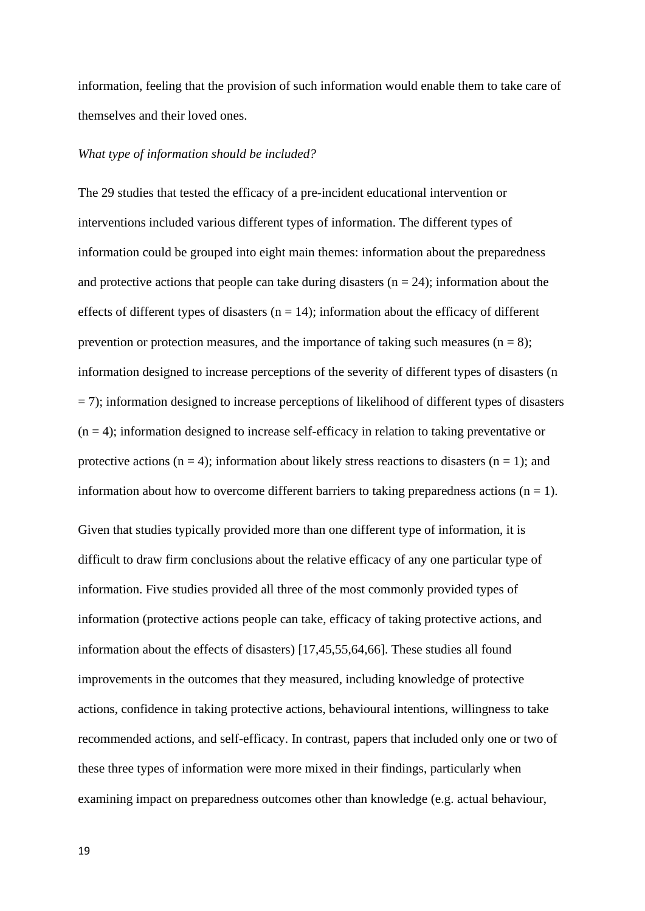information, feeling that the provision of such information would enable them to take care of themselves and their loved ones.

## *What type of information should be included?*

The 29 studies that tested the efficacy of a pre-incident educational intervention or interventions included various different types of information. The different types of information could be grouped into eight main themes: information about the preparedness and protective actions that people can take during disasters ( $n = 24$ ); information about the effects of different types of disasters  $(n = 14)$ ; information about the efficacy of different prevention or protection measures, and the importance of taking such measures ( $n = 8$ ); information designed to increase perceptions of the severity of different types of disasters (n  $=$  7); information designed to increase perceptions of likelihood of different types of disasters  $(n = 4)$ ; information designed to increase self-efficacy in relation to taking preventative or protective actions ( $n = 4$ ); information about likely stress reactions to disasters ( $n = 1$ ); and information about how to overcome different barriers to taking preparedness actions  $(n = 1)$ . Given that studies typically provided more than one different type of information, it is difficult to draw firm conclusions about the relative efficacy of any one particular type of information. Five studies provided all three of the most commonly provided types of information (protective actions people can take, efficacy of taking protective actions, and information about the effects of disasters) [17,45,55,64,66]. These studies all found improvements in the outcomes that they measured, including knowledge of protective actions, confidence in taking protective actions, behavioural intentions, willingness to take recommended actions, and self-efficacy. In contrast, papers that included only one or two of these three types of information were more mixed in their findings, particularly when examining impact on preparedness outcomes other than knowledge (e.g. actual behaviour,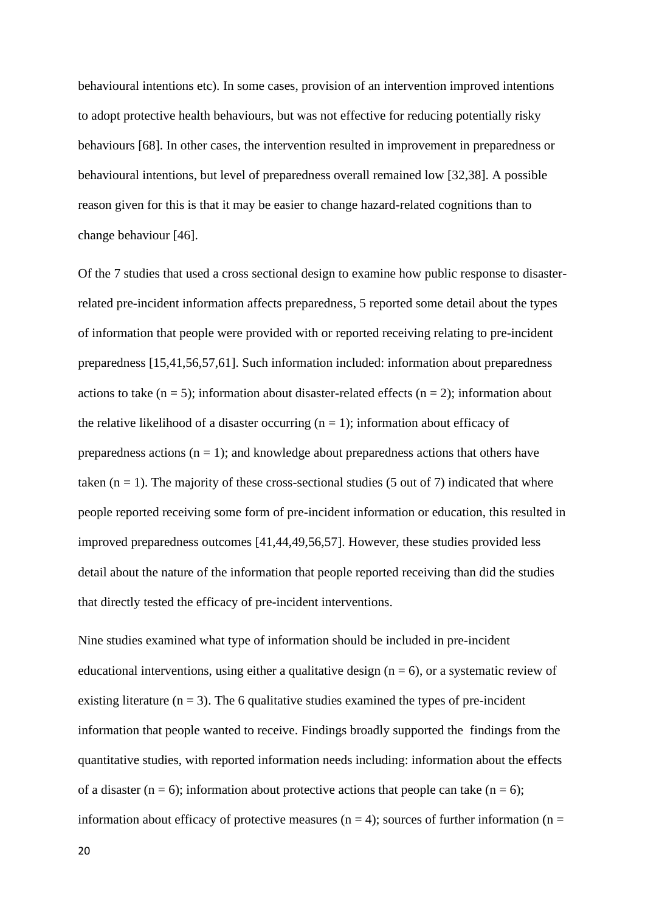behavioural intentions etc). In some cases, provision of an intervention improved intentions to adopt protective health behaviours, but was not effective for reducing potentially risky behaviours [68]. In other cases, the intervention resulted in improvement in preparedness or behavioural intentions, but level of preparedness overall remained low [32,38]. A possible reason given for this is that it may be easier to change hazard-related cognitions than to change behaviour [46].

Of the 7 studies that used a cross sectional design to examine how public response to disasterrelated pre-incident information affects preparedness, 5 reported some detail about the types of information that people were provided with or reported receiving relating to pre-incident preparedness [15,41,56,57,61]. Such information included: information about preparedness actions to take  $(n = 5)$ ; information about disaster-related effects  $(n = 2)$ ; information about the relative likelihood of a disaster occurring  $(n = 1)$ ; information about efficacy of preparedness actions ( $n = 1$ ); and knowledge about preparedness actions that others have taken  $(n = 1)$ . The majority of these cross-sectional studies (5 out of 7) indicated that where people reported receiving some form of pre-incident information or education, this resulted in improved preparedness outcomes [41,44,49,56,57]. However, these studies provided less detail about the nature of the information that people reported receiving than did the studies that directly tested the efficacy of pre-incident interventions.

Nine studies examined what type of information should be included in pre-incident educational interventions, using either a qualitative design  $(n = 6)$ , or a systematic review of existing literature  $(n = 3)$ . The 6 qualitative studies examined the types of pre-incident information that people wanted to receive. Findings broadly supported the findings from the quantitative studies, with reported information needs including: information about the effects of a disaster (n = 6); information about protective actions that people can take (n = 6); information about efficacy of protective measures ( $n = 4$ ); sources of further information ( $n =$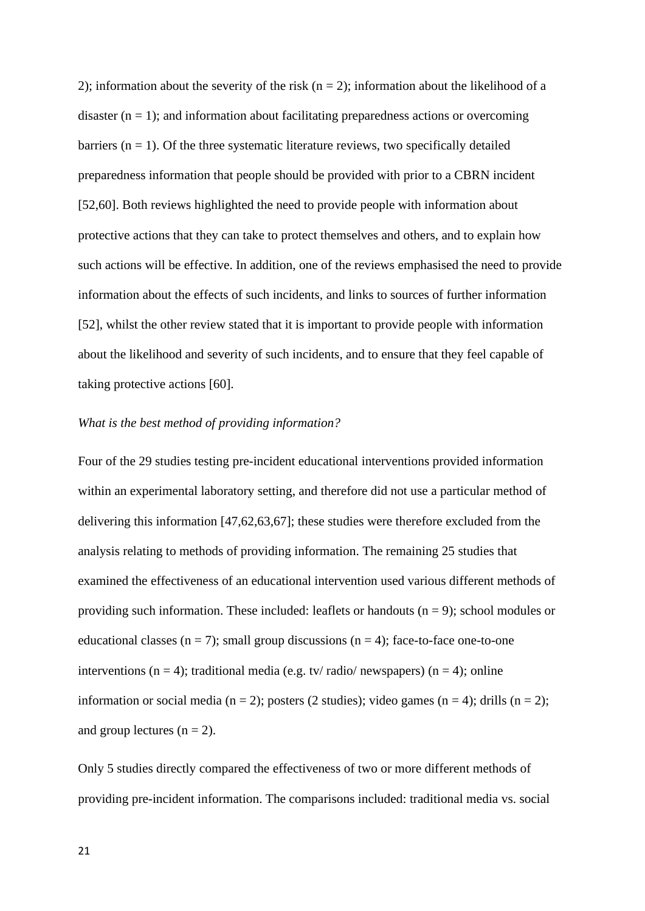2); information about the severity of the risk  $(n = 2)$ ; information about the likelihood of a disaster  $(n = 1)$ ; and information about facilitating preparedness actions or overcoming barriers  $(n = 1)$ . Of the three systematic literature reviews, two specifically detailed preparedness information that people should be provided with prior to a CBRN incident [52,60]. Both reviews highlighted the need to provide people with information about protective actions that they can take to protect themselves and others, and to explain how such actions will be effective. In addition, one of the reviews emphasised the need to provide information about the effects of such incidents, and links to sources of further information [52], whilst the other review stated that it is important to provide people with information about the likelihood and severity of such incidents, and to ensure that they feel capable of taking protective actions [60].

# *What is the best method of providing information?*

Four of the 29 studies testing pre-incident educational interventions provided information within an experimental laboratory setting, and therefore did not use a particular method of delivering this information [47,62,63,67]; these studies were therefore excluded from the analysis relating to methods of providing information. The remaining 25 studies that examined the effectiveness of an educational intervention used various different methods of providing such information. These included: leaflets or handouts  $(n = 9)$ ; school modules or educational classes  $(n = 7)$ ; small group discussions  $(n = 4)$ ; face-to-face one-to-one interventions ( $n = 4$ ); traditional media (e.g. tv/ radio/ newspapers) ( $n = 4$ ); online information or social media ( $n = 2$ ); posters (2 studies); video games ( $n = 4$ ); drills ( $n = 2$ ); and group lectures  $(n = 2)$ .

Only 5 studies directly compared the effectiveness of two or more different methods of providing pre-incident information. The comparisons included: traditional media vs. social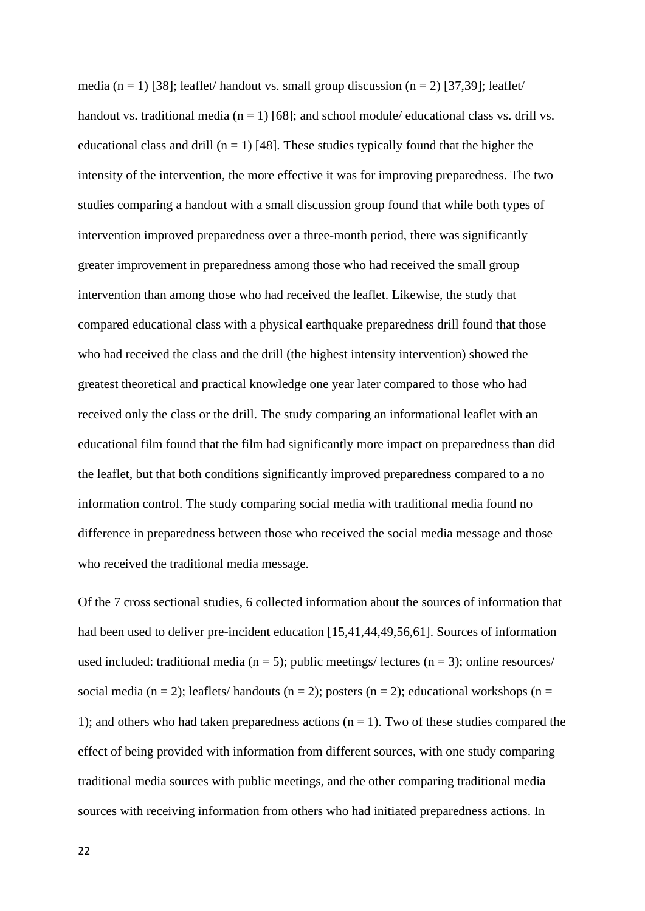media (n = 1) [38]; leaflet/ handout vs. small group discussion (n = 2) [37,39]; leaflet/ handout vs. traditional media ( $n = 1$ ) [68]; and school module/ educational class vs. drill vs. educational class and drill ( $n = 1$ ) [48]. These studies typically found that the higher the intensity of the intervention, the more effective it was for improving preparedness. The two studies comparing a handout with a small discussion group found that while both types of intervention improved preparedness over a three-month period, there was significantly greater improvement in preparedness among those who had received the small group intervention than among those who had received the leaflet. Likewise, the study that compared educational class with a physical earthquake preparedness drill found that those who had received the class and the drill (the highest intensity intervention) showed the greatest theoretical and practical knowledge one year later compared to those who had received only the class or the drill. The study comparing an informational leaflet with an educational film found that the film had significantly more impact on preparedness than did the leaflet, but that both conditions significantly improved preparedness compared to a no information control. The study comparing social media with traditional media found no difference in preparedness between those who received the social media message and those who received the traditional media message.

Of the 7 cross sectional studies, 6 collected information about the sources of information that had been used to deliver pre-incident education [15,41,44,49,56,61]. Sources of information used included: traditional media ( $n = 5$ ); public meetings/ lectures ( $n = 3$ ); online resources/ social media (n = 2); leaflets/ handouts (n = 2); posters (n = 2); educational workshops (n = 1); and others who had taken preparedness actions  $(n = 1)$ . Two of these studies compared the effect of being provided with information from different sources, with one study comparing traditional media sources with public meetings, and the other comparing traditional media sources with receiving information from others who had initiated preparedness actions. In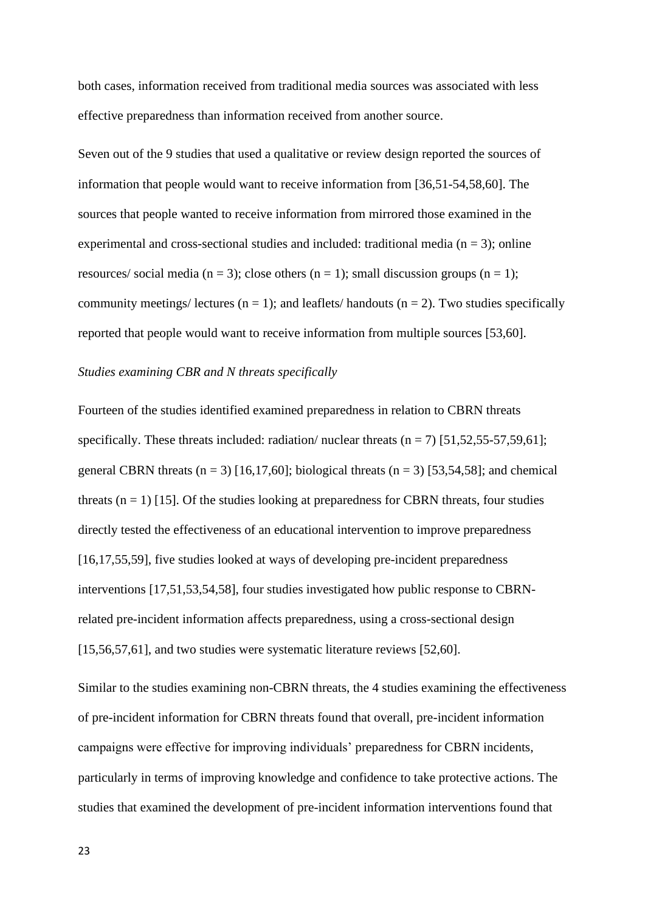both cases, information received from traditional media sources was associated with less effective preparedness than information received from another source.

Seven out of the 9 studies that used a qualitative or review design reported the sources of information that people would want to receive information from [36,51-54,58,60]. The sources that people wanted to receive information from mirrored those examined in the experimental and cross-sectional studies and included: traditional media ( $n = 3$ ); online resources/ social media ( $n = 3$ ); close others ( $n = 1$ ); small discussion groups ( $n = 1$ ); community meetings/ lectures ( $n = 1$ ); and leaflets/ handouts ( $n = 2$ ). Two studies specifically reported that people would want to receive information from multiple sources [53,60].

#### *Studies examining CBR and N threats specifically*

Fourteen of the studies identified examined preparedness in relation to CBRN threats specifically. These threats included: radiation/ nuclear threats  $(n = 7)$  [51,52,55-57,59,61]; general CBRN threats  $(n = 3)$  [16,17,60]; biological threats  $(n = 3)$  [53,54,58]; and chemical threats  $(n = 1)$  [15]. Of the studies looking at preparedness for CBRN threats, four studies directly tested the effectiveness of an educational intervention to improve preparedness [16,17,55,59], five studies looked at ways of developing pre-incident preparedness interventions [17,51,53,54,58], four studies investigated how public response to CBRNrelated pre-incident information affects preparedness, using a cross-sectional design [15,56,57,61], and two studies were systematic literature reviews [52,60].

Similar to the studies examining non-CBRN threats, the 4 studies examining the effectiveness of pre-incident information for CBRN threats found that overall, pre-incident information campaigns were effective for improving individuals' preparedness for CBRN incidents, particularly in terms of improving knowledge and confidence to take protective actions. The studies that examined the development of pre-incident information interventions found that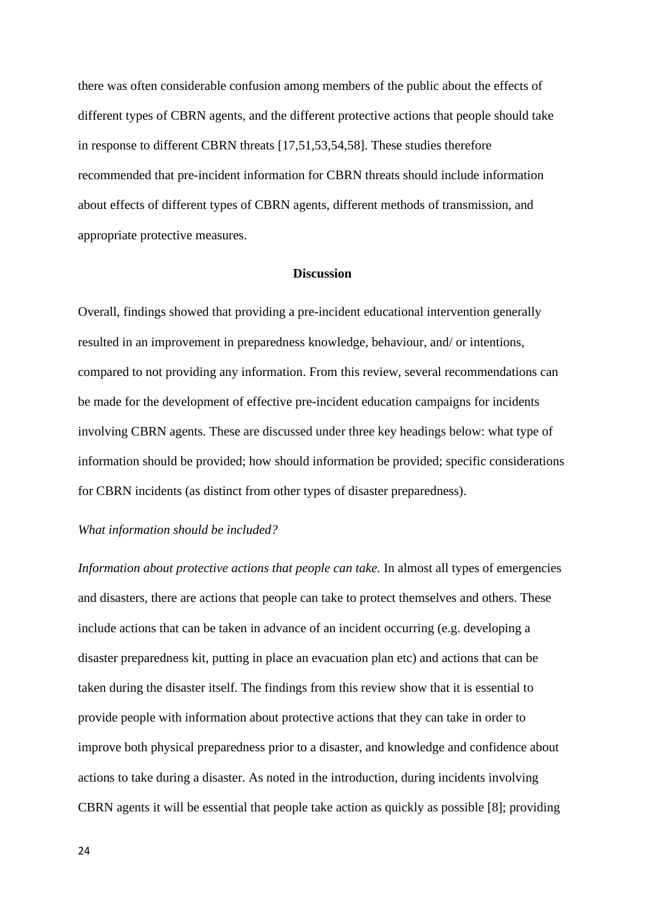there was often considerable confusion among members of the public about the effects of different types of CBRN agents, and the different protective actions that people should take in response to different CBRN threats [17,51,53,54,58]. These studies therefore recommended that pre-incident information for CBRN threats should include information about effects of different types of CBRN agents, different methods of transmission, and appropriate protective measures.

## **Discussion**

Overall, findings showed that providing a pre-incident educational intervention generally resulted in an improvement in preparedness knowledge, behaviour, and/ or intentions, compared to not providing any information. From this review, several recommendations can be made for the development of effective pre-incident education campaigns for incidents involving CBRN agents. These are discussed under three key headings below: what type of information should be provided; how should information be provided; specific considerations for CBRN incidents (as distinct from other types of disaster preparedness).

# *What information should be included?*

*Information about protective actions that people can take.* In almost all types of emergencies and disasters, there are actions that people can take to protect themselves and others. These include actions that can be taken in advance of an incident occurring (e.g. developing a disaster preparedness kit, putting in place an evacuation plan etc) and actions that can be taken during the disaster itself. The findings from this review show that it is essential to provide people with information about protective actions that they can take in order to improve both physical preparedness prior to a disaster, and knowledge and confidence about actions to take during a disaster. As noted in the introduction, during incidents involving CBRN agents it will be essential that people take action as quickly as possible [8]; providing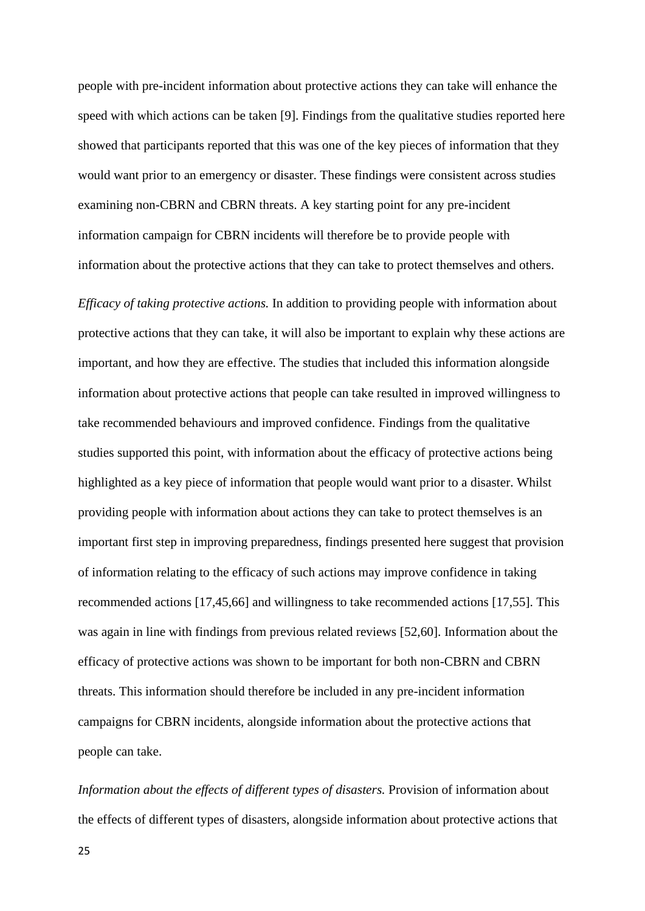people with pre-incident information about protective actions they can take will enhance the speed with which actions can be taken [9]. Findings from the qualitative studies reported here showed that participants reported that this was one of the key pieces of information that they would want prior to an emergency or disaster. These findings were consistent across studies examining non-CBRN and CBRN threats. A key starting point for any pre-incident information campaign for CBRN incidents will therefore be to provide people with information about the protective actions that they can take to protect themselves and others.

*Efficacy of taking protective actions.* In addition to providing people with information about protective actions that they can take, it will also be important to explain why these actions are important, and how they are effective. The studies that included this information alongside information about protective actions that people can take resulted in improved willingness to take recommended behaviours and improved confidence. Findings from the qualitative studies supported this point, with information about the efficacy of protective actions being highlighted as a key piece of information that people would want prior to a disaster. Whilst providing people with information about actions they can take to protect themselves is an important first step in improving preparedness, findings presented here suggest that provision of information relating to the efficacy of such actions may improve confidence in taking recommended actions [17,45,66] and willingness to take recommended actions [17,55]. This was again in line with findings from previous related reviews [52,60]. Information about the efficacy of protective actions was shown to be important for both non-CBRN and CBRN threats. This information should therefore be included in any pre-incident information campaigns for CBRN incidents, alongside information about the protective actions that people can take.

*Information about the effects of different types of disasters.* Provision of information about the effects of different types of disasters, alongside information about protective actions that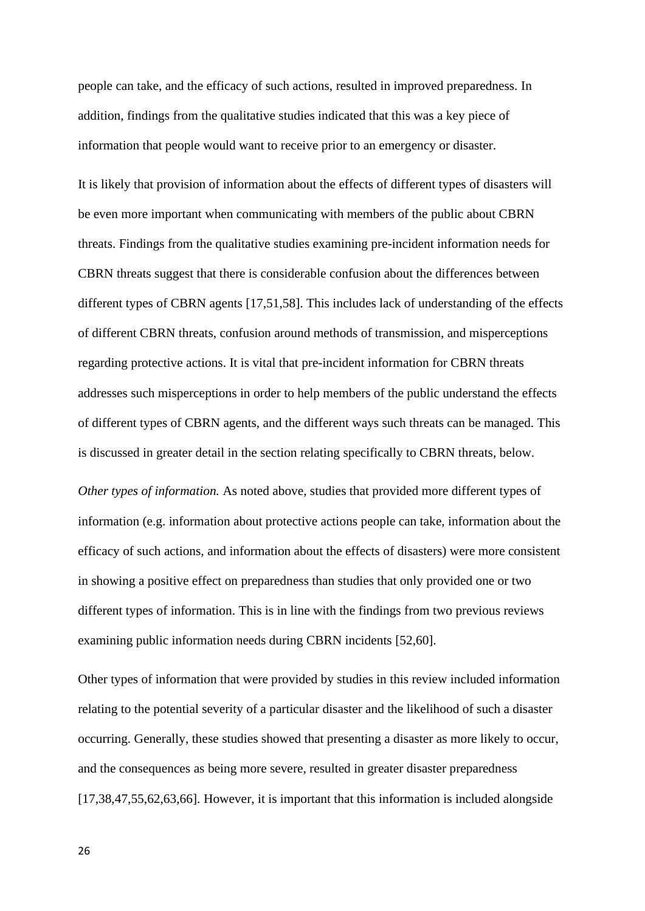people can take, and the efficacy of such actions, resulted in improved preparedness. In addition, findings from the qualitative studies indicated that this was a key piece of information that people would want to receive prior to an emergency or disaster.

It is likely that provision of information about the effects of different types of disasters will be even more important when communicating with members of the public about CBRN threats. Findings from the qualitative studies examining pre-incident information needs for CBRN threats suggest that there is considerable confusion about the differences between different types of CBRN agents [17,51,58]. This includes lack of understanding of the effects of different CBRN threats, confusion around methods of transmission, and misperceptions regarding protective actions. It is vital that pre-incident information for CBRN threats addresses such misperceptions in order to help members of the public understand the effects of different types of CBRN agents, and the different ways such threats can be managed. This is discussed in greater detail in the section relating specifically to CBRN threats, below.

*Other types of information.* As noted above, studies that provided more different types of information (e.g. information about protective actions people can take, information about the efficacy of such actions, and information about the effects of disasters) were more consistent in showing a positive effect on preparedness than studies that only provided one or two different types of information. This is in line with the findings from two previous reviews examining public information needs during CBRN incidents [52,60].

Other types of information that were provided by studies in this review included information relating to the potential severity of a particular disaster and the likelihood of such a disaster occurring. Generally, these studies showed that presenting a disaster as more likely to occur, and the consequences as being more severe, resulted in greater disaster preparedness [17,38,47,55,62,63,66]. However, it is important that this information is included alongside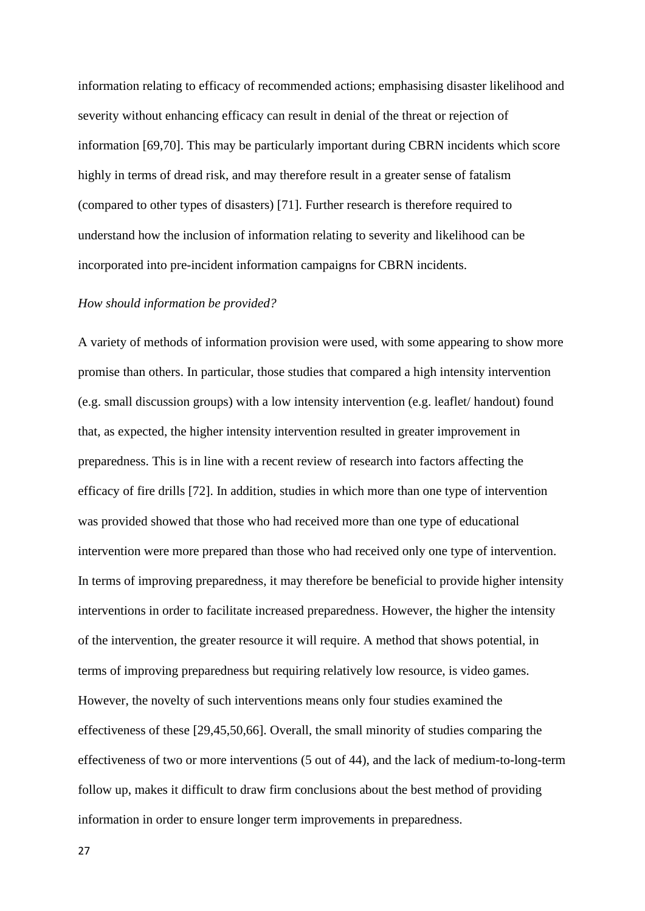information relating to efficacy of recommended actions; emphasising disaster likelihood and severity without enhancing efficacy can result in denial of the threat or rejection of information [69,70]. This may be particularly important during CBRN incidents which score highly in terms of dread risk, and may therefore result in a greater sense of fatalism (compared to other types of disasters) [71]. Further research is therefore required to understand how the inclusion of information relating to severity and likelihood can be incorporated into pre-incident information campaigns for CBRN incidents.

## *How should information be provided?*

A variety of methods of information provision were used, with some appearing to show more promise than others. In particular, those studies that compared a high intensity intervention (e.g. small discussion groups) with a low intensity intervention (e.g. leaflet/ handout) found that, as expected, the higher intensity intervention resulted in greater improvement in preparedness. This is in line with a recent review of research into factors affecting the efficacy of fire drills [72]. In addition, studies in which more than one type of intervention was provided showed that those who had received more than one type of educational intervention were more prepared than those who had received only one type of intervention. In terms of improving preparedness, it may therefore be beneficial to provide higher intensity interventions in order to facilitate increased preparedness. However, the higher the intensity of the intervention, the greater resource it will require. A method that shows potential, in terms of improving preparedness but requiring relatively low resource, is video games. However, the novelty of such interventions means only four studies examined the effectiveness of these [29,45,50,66]. Overall, the small minority of studies comparing the effectiveness of two or more interventions (5 out of 44), and the lack of medium-to-long-term follow up, makes it difficult to draw firm conclusions about the best method of providing information in order to ensure longer term improvements in preparedness.

27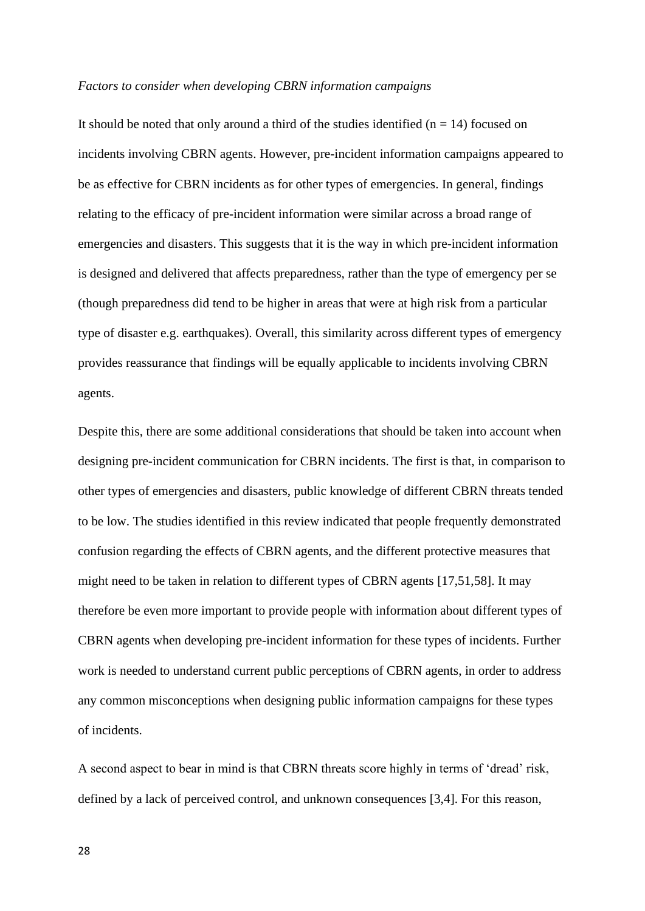#### *Factors to consider when developing CBRN information campaigns*

It should be noted that only around a third of the studies identified  $(n = 14)$  focused on incidents involving CBRN agents. However, pre-incident information campaigns appeared to be as effective for CBRN incidents as for other types of emergencies. In general, findings relating to the efficacy of pre-incident information were similar across a broad range of emergencies and disasters. This suggests that it is the way in which pre-incident information is designed and delivered that affects preparedness, rather than the type of emergency per se (though preparedness did tend to be higher in areas that were at high risk from a particular type of disaster e.g. earthquakes). Overall, this similarity across different types of emergency provides reassurance that findings will be equally applicable to incidents involving CBRN agents.

Despite this, there are some additional considerations that should be taken into account when designing pre-incident communication for CBRN incidents. The first is that, in comparison to other types of emergencies and disasters, public knowledge of different CBRN threats tended to be low. The studies identified in this review indicated that people frequently demonstrated confusion regarding the effects of CBRN agents, and the different protective measures that might need to be taken in relation to different types of CBRN agents [17,51,58]. It may therefore be even more important to provide people with information about different types of CBRN agents when developing pre-incident information for these types of incidents. Further work is needed to understand current public perceptions of CBRN agents, in order to address any common misconceptions when designing public information campaigns for these types of incidents.

A second aspect to bear in mind is that CBRN threats score highly in terms of 'dread' risk, defined by a lack of perceived control, and unknown consequences [3,4]. For this reason,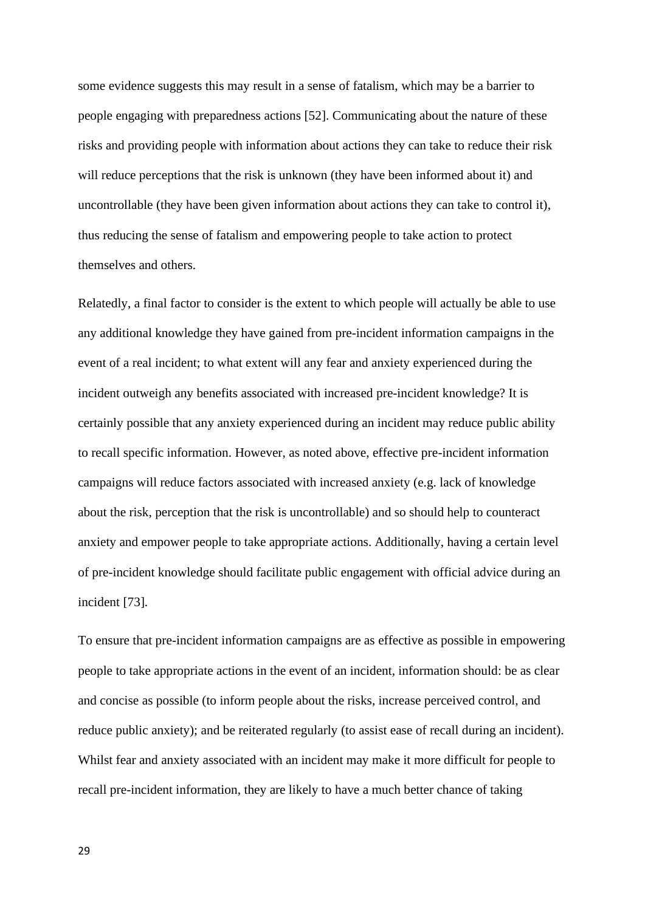some evidence suggests this may result in a sense of fatalism, which may be a barrier to people engaging with preparedness actions [52]. Communicating about the nature of these risks and providing people with information about actions they can take to reduce their risk will reduce perceptions that the risk is unknown (they have been informed about it) and uncontrollable (they have been given information about actions they can take to control it), thus reducing the sense of fatalism and empowering people to take action to protect themselves and others.

Relatedly, a final factor to consider is the extent to which people will actually be able to use any additional knowledge they have gained from pre-incident information campaigns in the event of a real incident; to what extent will any fear and anxiety experienced during the incident outweigh any benefits associated with increased pre-incident knowledge? It is certainly possible that any anxiety experienced during an incident may reduce public ability to recall specific information. However, as noted above, effective pre-incident information campaigns will reduce factors associated with increased anxiety (e.g. lack of knowledge about the risk, perception that the risk is uncontrollable) and so should help to counteract anxiety and empower people to take appropriate actions. Additionally, having a certain level of pre-incident knowledge should facilitate public engagement with official advice during an incident [73].

To ensure that pre-incident information campaigns are as effective as possible in empowering people to take appropriate actions in the event of an incident, information should: be as clear and concise as possible (to inform people about the risks, increase perceived control, and reduce public anxiety); and be reiterated regularly (to assist ease of recall during an incident). Whilst fear and anxiety associated with an incident may make it more difficult for people to recall pre-incident information, they are likely to have a much better chance of taking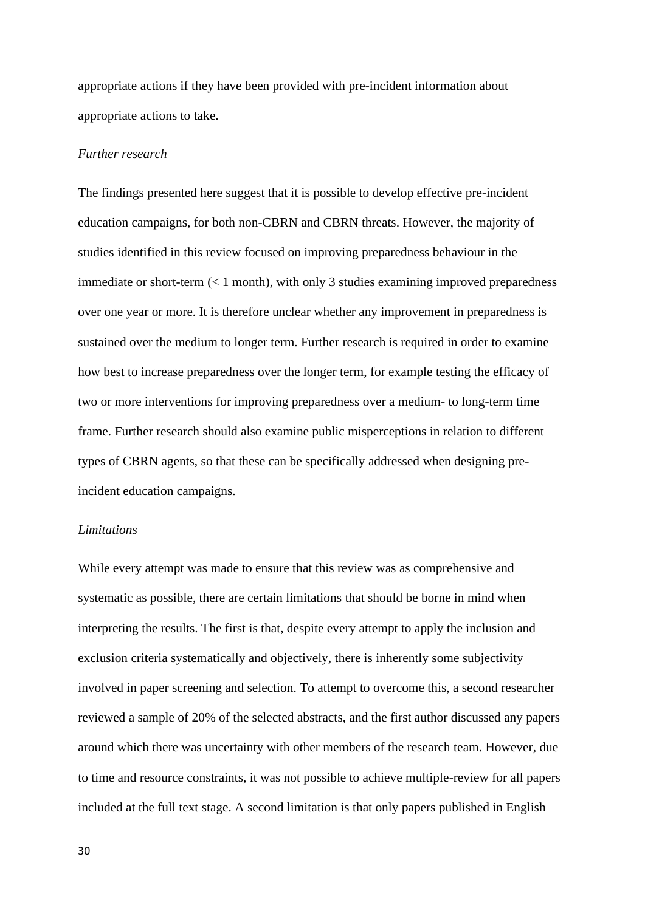appropriate actions if they have been provided with pre-incident information about appropriate actions to take.

# *Further research*

The findings presented here suggest that it is possible to develop effective pre-incident education campaigns, for both non-CBRN and CBRN threats. However, the majority of studies identified in this review focused on improving preparedness behaviour in the immediate or short-term  $(< 1$  month), with only 3 studies examining improved preparedness over one year or more. It is therefore unclear whether any improvement in preparedness is sustained over the medium to longer term. Further research is required in order to examine how best to increase preparedness over the longer term, for example testing the efficacy of two or more interventions for improving preparedness over a medium- to long-term time frame. Further research should also examine public misperceptions in relation to different types of CBRN agents, so that these can be specifically addressed when designing preincident education campaigns.

#### *Limitations*

While every attempt was made to ensure that this review was as comprehensive and systematic as possible, there are certain limitations that should be borne in mind when interpreting the results. The first is that, despite every attempt to apply the inclusion and exclusion criteria systematically and objectively, there is inherently some subjectivity involved in paper screening and selection. To attempt to overcome this, a second researcher reviewed a sample of 20% of the selected abstracts, and the first author discussed any papers around which there was uncertainty with other members of the research team. However, due to time and resource constraints, it was not possible to achieve multiple-review for all papers included at the full text stage. A second limitation is that only papers published in English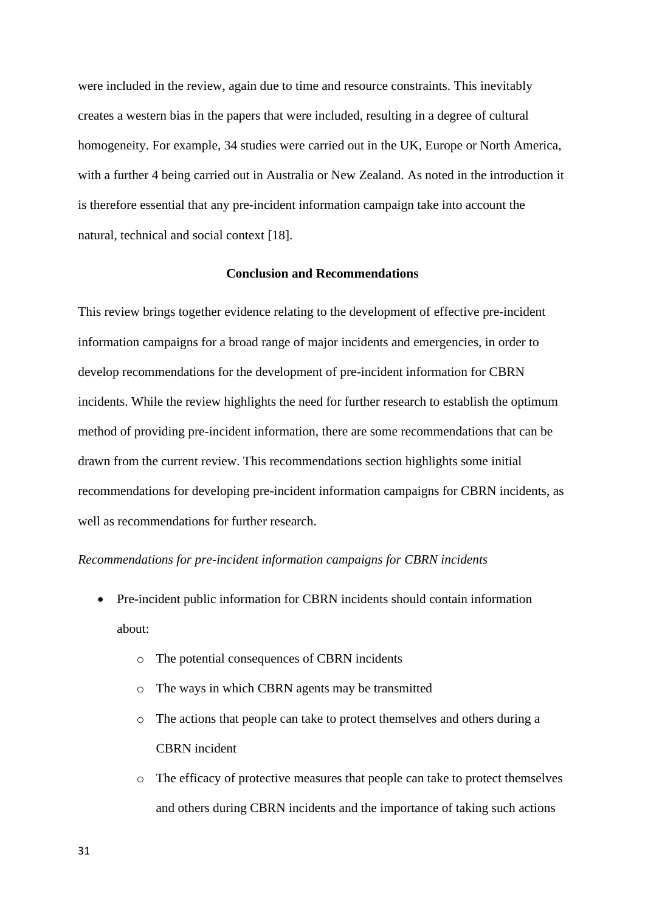were included in the review, again due to time and resource constraints. This inevitably creates a western bias in the papers that were included, resulting in a degree of cultural homogeneity. For example, 34 studies were carried out in the UK, Europe or North America, with a further 4 being carried out in Australia or New Zealand. As noted in the introduction it is therefore essential that any pre-incident information campaign take into account the natural, technical and social context [18].

#### **Conclusion and Recommendations**

This review brings together evidence relating to the development of effective pre-incident information campaigns for a broad range of major incidents and emergencies, in order to develop recommendations for the development of pre-incident information for CBRN incidents. While the review highlights the need for further research to establish the optimum method of providing pre-incident information, there are some recommendations that can be drawn from the current review. This recommendations section highlights some initial recommendations for developing pre-incident information campaigns for CBRN incidents, as well as recommendations for further research.

#### *Recommendations for pre-incident information campaigns for CBRN incidents*

- Pre-incident public information for CBRN incidents should contain information about:
	- o The potential consequences of CBRN incidents
	- o The ways in which CBRN agents may be transmitted
	- o The actions that people can take to protect themselves and others during a CBRN incident
	- o The efficacy of protective measures that people can take to protect themselves and others during CBRN incidents and the importance of taking such actions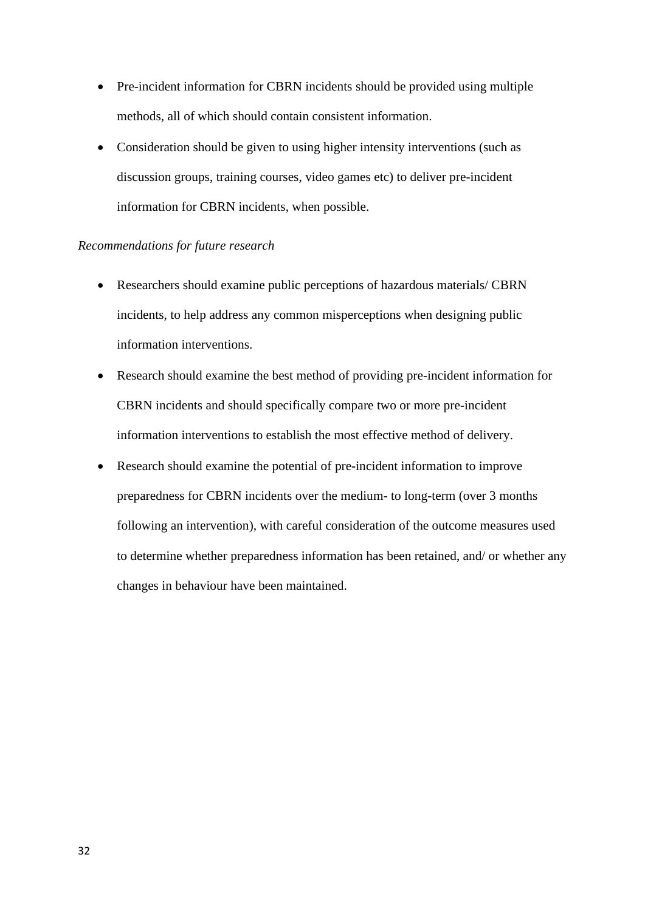- Pre-incident information for CBRN incidents should be provided using multiple methods, all of which should contain consistent information.
- Consideration should be given to using higher intensity interventions (such as discussion groups, training courses, video games etc) to deliver pre-incident information for CBRN incidents, when possible.

## *Recommendations for future research*

- Researchers should examine public perceptions of hazardous materials/ CBRN incidents, to help address any common misperceptions when designing public information interventions.
- Research should examine the best method of providing pre-incident information for CBRN incidents and should specifically compare two or more pre-incident information interventions to establish the most effective method of delivery.
- Research should examine the potential of pre-incident information to improve preparedness for CBRN incidents over the medium- to long-term (over 3 months following an intervention), with careful consideration of the outcome measures used to determine whether preparedness information has been retained, and/ or whether any changes in behaviour have been maintained.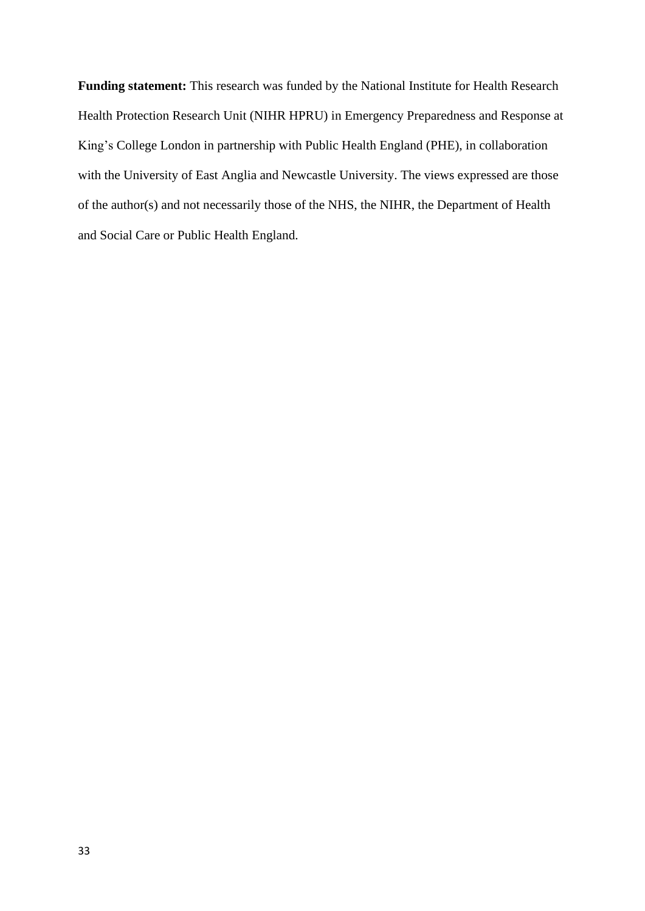**Funding statement:** This research was funded by the National Institute for Health Research Health Protection Research Unit (NIHR HPRU) in Emergency Preparedness and Response at King's College London in partnership with Public Health England (PHE), in collaboration with the University of East Anglia and Newcastle University. The views expressed are those of the author(s) and not necessarily those of the NHS, the NIHR, the Department of Health and Social Care or Public Health England.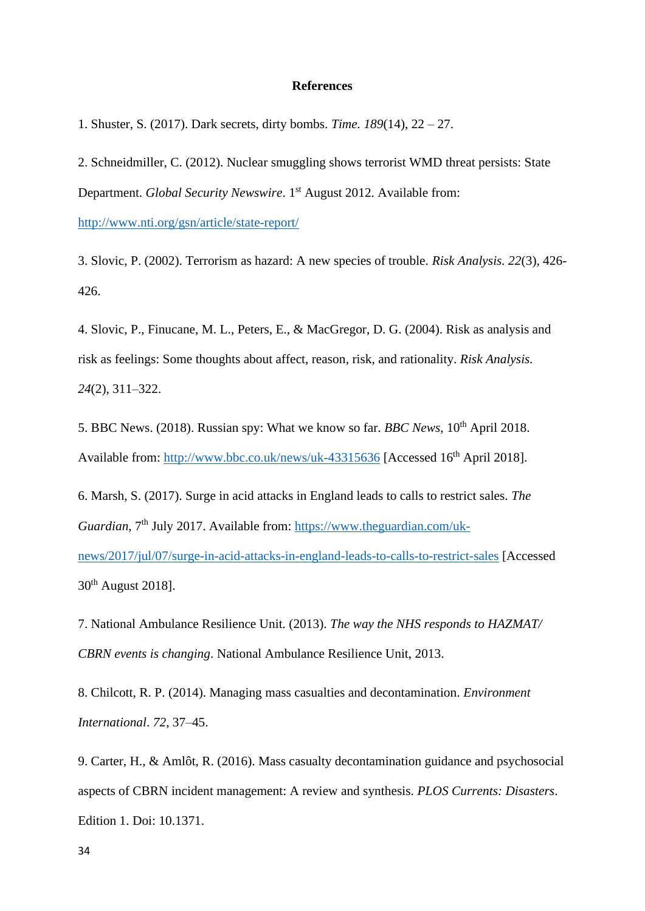#### **References**

1. Shuster, S. (2017). Dark secrets, dirty bombs. *Time. 189*(14), 22 – 27.

2. Schneidmiller, C. (2012). Nuclear smuggling shows terrorist WMD threat persists: State Department. *Global Security Newswire*. 1<sup>st</sup> August 2012. Available from: <http://www.nti.org/gsn/article/state-report/>

3. Slovic, P. (2002). Terrorism as hazard: A new species of trouble. *Risk Analysis. 22*(3), 426- 426.

4. Slovic, P., Finucane, M. L., Peters, E., & MacGregor, D. G. (2004). Risk as analysis and risk as feelings: Some thoughts about affect, reason, risk, and rationality. *Risk Analysis. 24*(2), 311–322.

5. BBC News. (2018). Russian spy: What we know so far. *BBC News*, 10th April 2018. Available from:<http://www.bbc.co.uk/news/uk-43315636> [Accessed 16<sup>th</sup> April 2018].

6. Marsh, S. (2017). Surge in acid attacks in England leads to calls to restrict sales. *The Guardian*, 7<sup>th</sup> July 2017. Available from: [https://www.theguardian.com/uk](https://www.theguardian.com/uk-news/2017/jul/07/surge-in-acid-attacks-in-england-leads-to-calls-to-restrict-sales)[news/2017/jul/07/surge-in-acid-attacks-in-england-leads-to-calls-to-restrict-sales](https://www.theguardian.com/uk-news/2017/jul/07/surge-in-acid-attacks-in-england-leads-to-calls-to-restrict-sales) [Accessed 30th August 2018].

7. National Ambulance Resilience Unit. (2013). *The way the NHS responds to HAZMAT/ CBRN events is changing*. National Ambulance Resilience Unit, 2013.

8. Chilcott, R. P. (2014). Managing mass casualties and decontamination. *Environment International*. *72*, 37–45.

9. Carter, H., & Amlôt, R. (2016). Mass casualty decontamination guidance and psychosocial aspects of CBRN incident management: A review and synthesis. *PLOS Currents: Disasters*. Edition 1. Doi: 10.1371.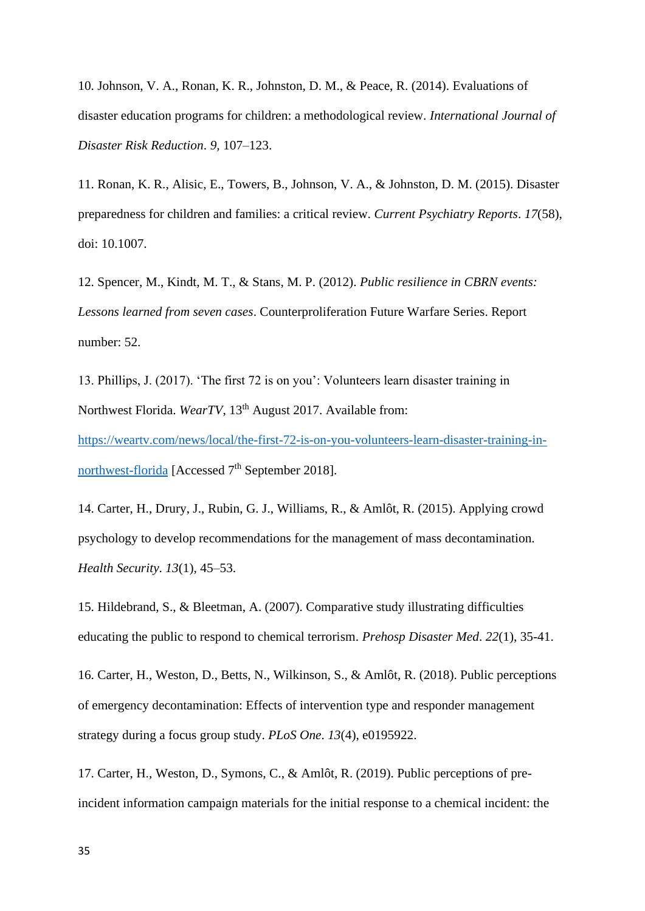10. Johnson, V. A., Ronan, K. R., Johnston, D. M., & Peace, R. (2014). Evaluations of disaster education programs for children: a methodological review. *International Journal of Disaster Risk Reduction*. *9,* 107–123.

11. Ronan, K. R., Alisic, E., Towers, B., Johnson, V. A., & Johnston, D. M. (2015). Disaster preparedness for children and families: a critical review. *Current Psychiatry Reports*. *17*(58), doi: 10.1007.

12. Spencer, M., Kindt, M. T., & Stans, M. P. (2012). *Public resilience in CBRN events: Lessons learned from seven cases*. Counterproliferation Future Warfare Series. Report number: 52.

13. Phillips, J. (2017). 'The first 72 is on you': Volunteers learn disaster training in Northwest Florida. *WearTV*, 13<sup>th</sup> August 2017. Available from: [https://weartv.com/news/local/the-first-72-is-on-you-volunteers-learn-disaster-training-in](https://weartv.com/news/local/the-first-72-is-on-you-volunteers-learn-disaster-training-in-northwest-florida)[northwest-florida](https://weartv.com/news/local/the-first-72-is-on-you-volunteers-learn-disaster-training-in-northwest-florida) [Accessed  $7<sup>th</sup>$  September 2018].

14. Carter, H., Drury, J., Rubin, G. J., Williams, R., & Amlôt, R. (2015). Applying crowd psychology to develop recommendations for the management of mass decontamination. *Health Security*. *13*(1), 45–53.

15. Hildebrand, S., & Bleetman, A. (2007). Comparative study illustrating difficulties educating the public to respond to chemical terrorism. *Prehosp Disaster Med*. *22*(1), 35-41.

16. Carter, H., Weston, D., Betts, N., Wilkinson, S., & Amlôt, R. (2018). Public perceptions of emergency decontamination: Effects of intervention type and responder management strategy during a focus group study. *PLoS One*. *13*(4), e0195922.

17. Carter, H., Weston, D., Symons, C., & Amlôt, R. (2019). Public perceptions of preincident information campaign materials for the initial response to a chemical incident: the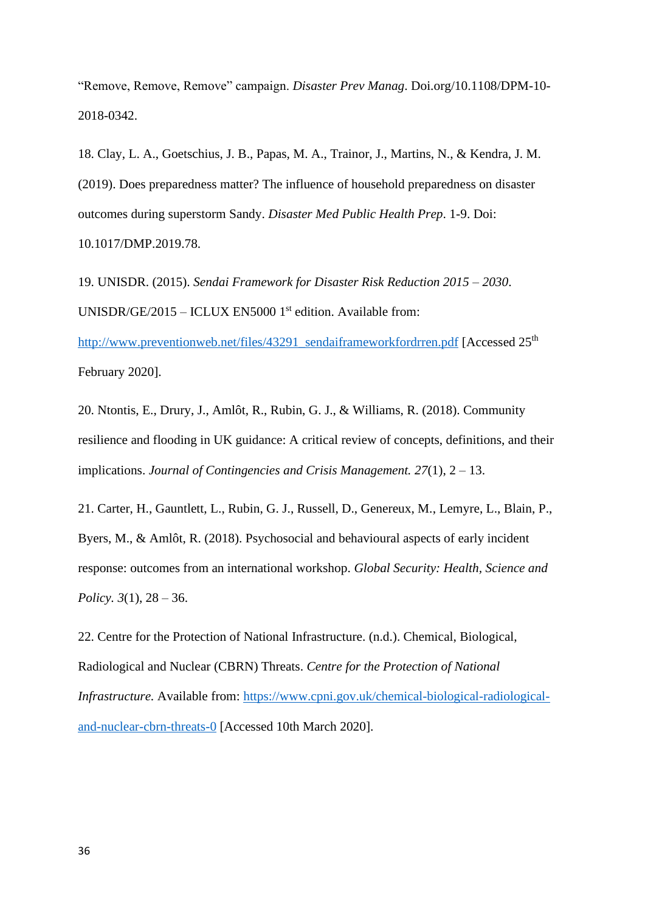"Remove, Remove, Remove" campaign. *Disaster Prev Manag*. Doi.org/10.1108/DPM-10- 2018-0342.

18. Clay, L. A., Goetschius, J. B., Papas, M. A., Trainor, J., Martins, N., & Kendra, J. M. (2019). Does preparedness matter? The influence of household preparedness on disaster outcomes during superstorm Sandy. *Disaster Med Public Health Prep*. 1-9. Doi: 10.1017/DMP.2019.78.

19. UNISDR. (2015). *Sendai Framework for Disaster Risk Reduction 2015 – 2030*. UNISDR/GE/2015 – ICLUX EN5000 1<sup>st</sup> edition. Available from:

[http://www.preventionweb.net/files/43291\\_sendaiframeworkfordrren.pdf](http://www.preventionweb.net/files/43291_sendaiframeworkfordrren.pdf) [Accessed 25<sup>th</sup>] February 2020].

20. Ntontis, E., Drury, J., Amlôt, R., Rubin, G. J., & Williams, R. (2018). Community resilience and flooding in UK guidance: A critical review of concepts, definitions, and their implications. *Journal of Contingencies and Crisis Management. 27*(1), 2 – 13.

21. Carter, H., Gauntlett, L., Rubin, G. J., Russell, D., Genereux, M., Lemyre, L., Blain, P., Byers, M., & Amlôt, R. (2018). Psychosocial and behavioural aspects of early incident response: outcomes from an international workshop. *Global Security: Health, Science and Policy. 3*(1), 28 – 36.

22. Centre for the Protection of National Infrastructure. (n.d.). Chemical, Biological, Radiological and Nuclear (CBRN) Threats. *Centre for the Protection of National Infrastructure.* Available from: [https://www.cpni.gov.uk/chemical-biological-radiological](https://www.cpni.gov.uk/chemical-biological-radiological-and-nuclear-cbrn-threats-0)[and-nuclear-cbrn-threats-0](https://www.cpni.gov.uk/chemical-biological-radiological-and-nuclear-cbrn-threats-0) [Accessed 10th March 2020].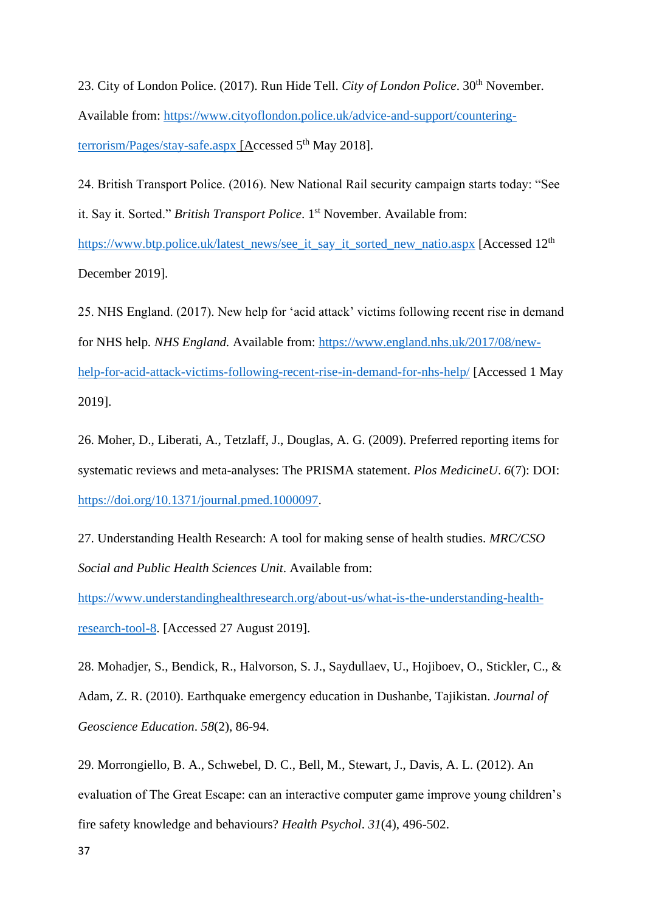23. City of London Police. (2017). Run Hide Tell. *City of London Police*. 30<sup>th</sup> November. Available from: [https://www.cityoflondon.police.uk/advice-and-support/countering](https://www.cityoflondon.police.uk/advice-and-support/countering-terrorism/Pages/stay-safe.aspx)[terrorism/Pages/stay-safe.aspx](https://www.cityoflondon.police.uk/advice-and-support/countering-terrorism/Pages/stay-safe.aspx) [Accessed 5<sup>th</sup> May 2018].

24. British Transport Police. (2016). New National Rail security campaign starts today: "See it. Say it. Sorted." *British Transport Police*. 1<sup>st</sup> November. Available from: [https://www.btp.police.uk/latest\\_news/see\\_it\\_say\\_it\\_sorted\\_new\\_natio.aspx](https://www.btp.police.uk/latest_news/see_it_say_it_sorted_new_natio.aspx) [Accessed 12<sup>th</sup>]

December 2019].

25. NHS England. (2017). New help for 'acid attack' victims following recent rise in demand for NHS help*. NHS England.* Available from: [https://www.england.nhs.uk/2017/08/new](https://www.england.nhs.uk/2017/08/new-help-for-acid-attack-victims-following-recent-rise-in-demand-for-nhs-help/)[help-for-acid-attack-victims-following-recent-rise-in-demand-for-nhs-help/](https://www.england.nhs.uk/2017/08/new-help-for-acid-attack-victims-following-recent-rise-in-demand-for-nhs-help/) [Accessed 1 May 2019].

26. Moher, D., Liberati, A., Tetzlaff, J., Douglas, A. G. (2009). Preferred reporting items for systematic reviews and meta-analyses: The PRISMA statement. *Plos MedicineU*. *6*(7): DOI: [https://doi.org/10.1371/journal.pmed.1000097.](https://doi.org/10.1371/journal.pmed.1000097)

27. Understanding Health Research: A tool for making sense of health studies. *MRC/CSO Social and Public Health Sciences Unit*. Available from:

[https://www.understandinghealthresearch.org/about-us/what-is-the-understanding-health](https://www.understandinghealthresearch.org/about-us/what-is-the-understanding-health-research-tool-8)[research-tool-8.](https://www.understandinghealthresearch.org/about-us/what-is-the-understanding-health-research-tool-8) [Accessed 27 August 2019].

28. Mohadjer, S., Bendick, R., Halvorson, S. J., Saydullaev, U., Hojiboev, O., Stickler, C., & Adam, Z. R. (2010). Earthquake emergency education in Dushanbe, Tajikistan. *Journal of Geoscience Education*. *58*(2), 86-94.

29. Morrongiello, B. A., Schwebel, D. C., Bell, M., Stewart, J., Davis, A. L. (2012). An evaluation of The Great Escape: can an interactive computer game improve young children's fire safety knowledge and behaviours? *Health Psychol*. *31*(4), 496-502.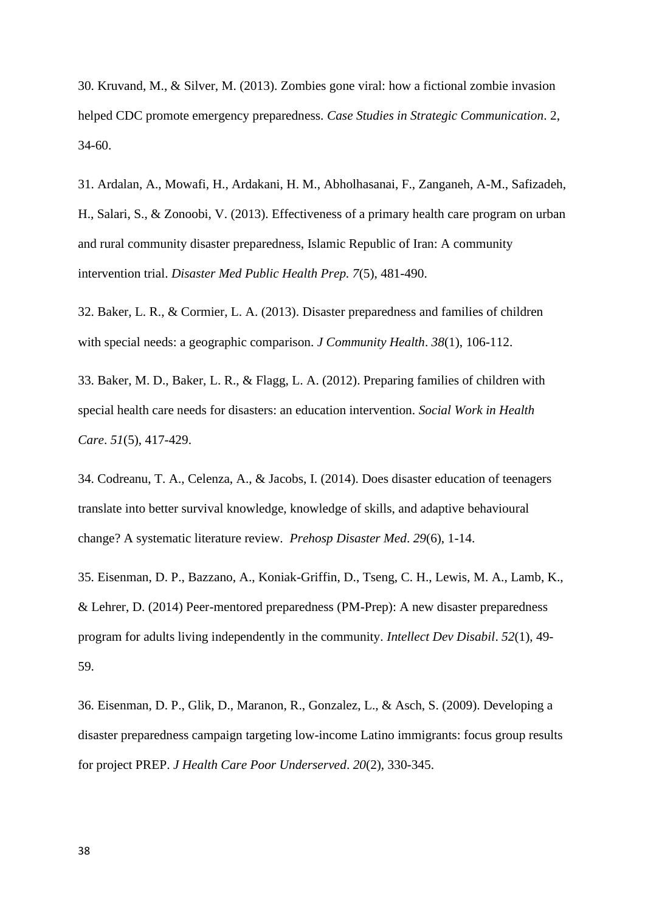30. Kruvand, M., & Silver, M. (2013). Zombies gone viral: how a fictional zombie invasion helped CDC promote emergency preparedness. *Case Studies in Strategic Communication*. 2, 34-60.

31. Ardalan, A., Mowafi, H., Ardakani, H. M., Abholhasanai, F., Zanganeh, A-M., Safizadeh, H., Salari, S., & Zonoobi, V. (2013). Effectiveness of a primary health care program on urban and rural community disaster preparedness, Islamic Republic of Iran: A community intervention trial. *Disaster Med Public Health Prep. 7*(5), 481-490.

32. Baker, L. R., & Cormier, L. A. (2013). Disaster preparedness and families of children with special needs: a geographic comparison. *J Community Health*. *38*(1), 106-112.

33. Baker, M. D., Baker, L. R., & Flagg, L. A. (2012). Preparing families of children with special health care needs for disasters: an education intervention. *Social Work in Health Care*. *51*(5), 417-429.

34. Codreanu, T. A., Celenza, A., & Jacobs, I. (2014). Does disaster education of teenagers translate into better survival knowledge, knowledge of skills, and adaptive behavioural change? A systematic literature review. *Prehosp Disaster Med*. *29*(6), 1-14.

35. Eisenman, D. P., Bazzano, A., Koniak-Griffin, D., Tseng, C. H., Lewis, M. A., Lamb, K., & Lehrer, D. (2014) Peer-mentored preparedness (PM-Prep): A new disaster preparedness program for adults living independently in the community. *Intellect Dev Disabil*. *52*(1), 49- 59.

36. Eisenman, D. P., Glik, D., Maranon, R., Gonzalez, L., & Asch, S. (2009). Developing a disaster preparedness campaign targeting low-income Latino immigrants: focus group results for project PREP. *J Health Care Poor Underserved*. *20*(2), 330-345.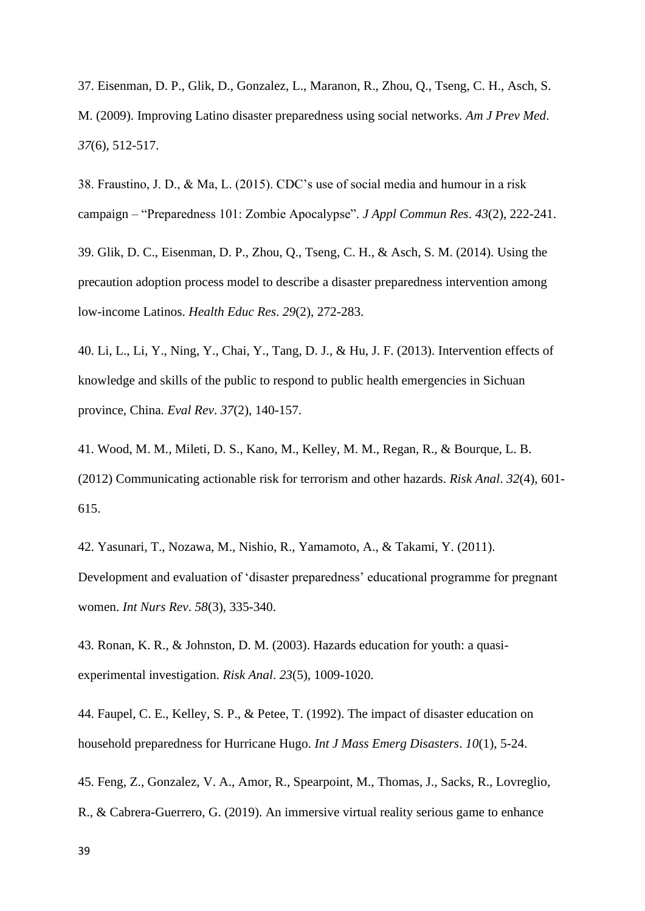37. Eisenman, D. P., Glik, D., Gonzalez, L., Maranon, R., Zhou, Q., Tseng, C. H., Asch, S. M. (2009). Improving Latino disaster preparedness using social networks. *Am J Prev Med*. *37*(6), 512-517.

38. Fraustino, J. D., & Ma, L. (2015). CDC's use of social media and humour in a risk campaign – "Preparedness 101: Zombie Apocalypse". *J Appl Commun Res*. *43*(2), 222-241.

39. Glik, D. C., Eisenman, D. P., Zhou, Q., Tseng, C. H., & Asch, S. M. (2014). Using the precaution adoption process model to describe a disaster preparedness intervention among low-income Latinos. *Health Educ Res*. *29*(2), 272-283.

40. Li, L., Li, Y., Ning, Y., Chai, Y., Tang, D. J., & Hu, J. F. (2013). Intervention effects of knowledge and skills of the public to respond to public health emergencies in Sichuan province, China. *Eval Rev*. *37*(2), 140-157.

41. Wood, M. M., Mileti, D. S., Kano, M., Kelley, M. M., Regan, R., & Bourque, L. B. (2012) Communicating actionable risk for terrorism and other hazards. *Risk Anal*. *32*(4), 601- 615.

42. Yasunari, T., Nozawa, M., Nishio, R., Yamamoto, A., & Takami, Y. (2011). Development and evaluation of 'disaster preparedness' educational programme for pregnant women. *Int Nurs Rev*. *58*(3), 335-340.

43. Ronan, K. R., & Johnston, D. M. (2003). Hazards education for youth: a quasiexperimental investigation. *Risk Anal*. *23*(5), 1009-1020.

44. Faupel, C. E., Kelley, S. P., & Petee, T. (1992). The impact of disaster education on household preparedness for Hurricane Hugo. *Int J Mass Emerg Disasters*. *10*(1), 5-24.

45. Feng, Z., Gonzalez, V. A., Amor, R., Spearpoint, M., Thomas, J., Sacks, R., Lovreglio, R., & Cabrera-Guerrero, G. (2019). An immersive virtual reality serious game to enhance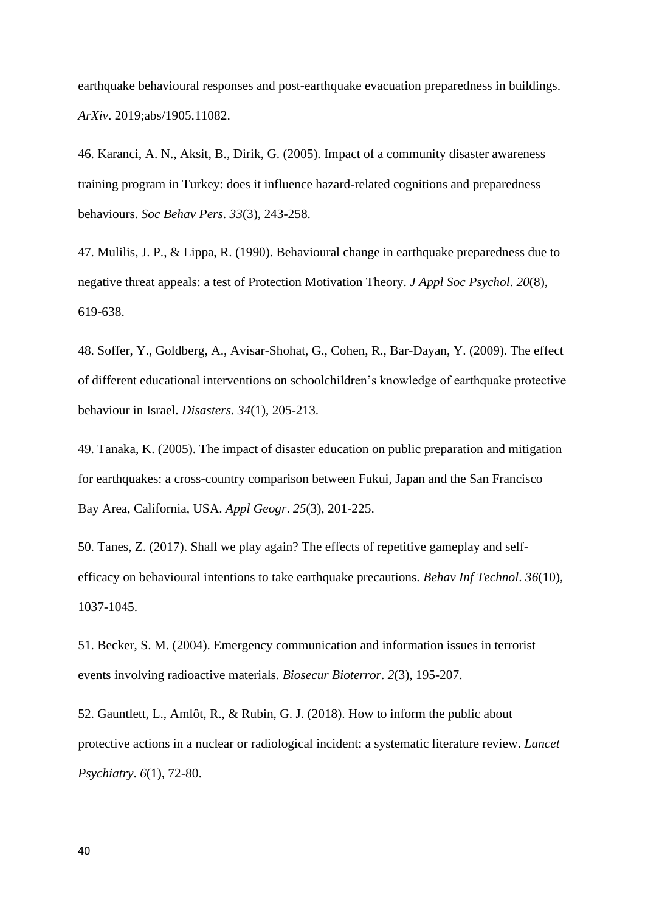earthquake behavioural responses and post-earthquake evacuation preparedness in buildings. *ArXiv*. 2019;abs/1905.11082.

46. Karanci, A. N., Aksit, B., Dirik, G. (2005). Impact of a community disaster awareness training program in Turkey: does it influence hazard-related cognitions and preparedness behaviours. *Soc Behav Pers*. *33*(3), 243-258.

47. Mulilis, J. P., & Lippa, R. (1990). Behavioural change in earthquake preparedness due to negative threat appeals: a test of Protection Motivation Theory. *J Appl Soc Psychol*. *20*(8), 619-638.

48. Soffer, Y., Goldberg, A., Avisar-Shohat, G., Cohen, R., Bar-Dayan, Y. (2009). The effect of different educational interventions on schoolchildren's knowledge of earthquake protective behaviour in Israel. *Disasters*. *34*(1), 205-213.

49. Tanaka, K. (2005). The impact of disaster education on public preparation and mitigation for earthquakes: a cross-country comparison between Fukui, Japan and the San Francisco Bay Area, California, USA. *Appl Geogr*. *25*(3), 201-225.

50. Tanes, Z. (2017). Shall we play again? The effects of repetitive gameplay and selfefficacy on behavioural intentions to take earthquake precautions. *Behav Inf Technol*. *36*(10), 1037-1045.

51. Becker, S. M. (2004). Emergency communication and information issues in terrorist events involving radioactive materials. *Biosecur Bioterror*. *2*(3), 195-207.

52. Gauntlett, L., Amlôt, R., & Rubin, G. J. (2018). How to inform the public about protective actions in a nuclear or radiological incident: a systematic literature review. *Lancet Psychiatry*. *6*(1), 72-80.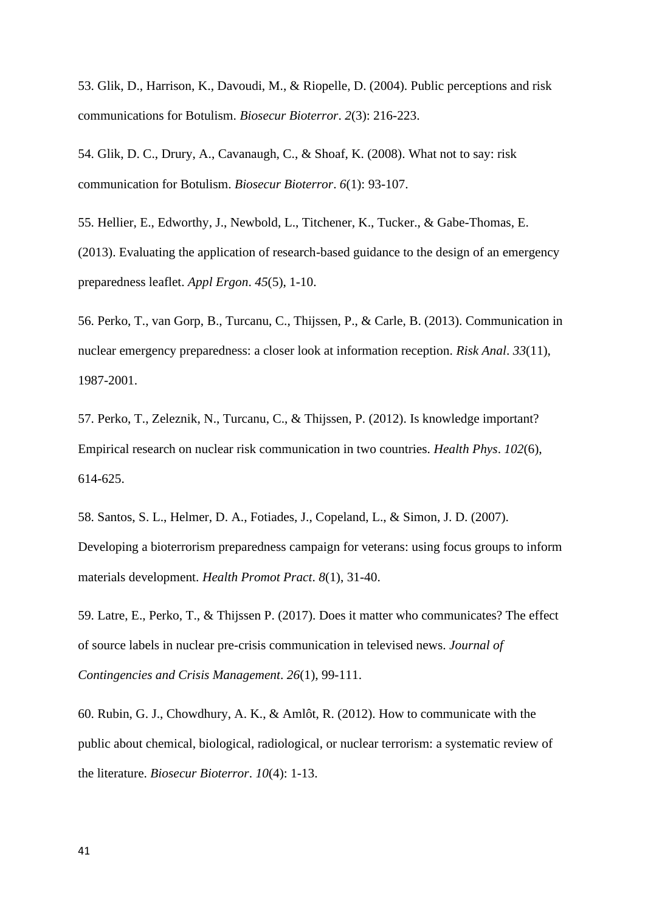53. Glik, D., Harrison, K., Davoudi, M., & Riopelle, D. (2004). Public perceptions and risk communications for Botulism. *Biosecur Bioterror*. *2*(3): 216-223.

54. Glik, D. C., Drury, A., Cavanaugh, C., & Shoaf, K. (2008). What not to say: risk communication for Botulism. *Biosecur Bioterror*. *6*(1): 93-107.

55. Hellier, E., Edworthy, J., Newbold, L., Titchener, K., Tucker., & Gabe-Thomas, E. (2013). Evaluating the application of research-based guidance to the design of an emergency preparedness leaflet. *Appl Ergon*. *45*(5), 1-10.

56. Perko, T., van Gorp, B., Turcanu, C., Thijssen, P., & Carle, B. (2013). Communication in nuclear emergency preparedness: a closer look at information reception. *Risk Anal*. *33*(11), 1987-2001.

57. Perko, T., Zeleznik, N., Turcanu, C., & Thijssen, P. (2012). Is knowledge important? Empirical research on nuclear risk communication in two countries. *Health Phys*. *102*(6), 614-625.

58. Santos, S. L., Helmer, D. A., Fotiades, J., Copeland, L., & Simon, J. D. (2007). Developing a bioterrorism preparedness campaign for veterans: using focus groups to inform materials development. *Health Promot Pract*. *8*(1), 31-40.

59. Latre, E., Perko, T., & Thijssen P. (2017). Does it matter who communicates? The effect of source labels in nuclear pre-crisis communication in televised news. *Journal of Contingencies and Crisis Management*. *26*(1), 99-111.

60. Rubin, G. J., Chowdhury, A. K., & Amlôt, R. (2012). How to communicate with the public about chemical, biological, radiological, or nuclear terrorism: a systematic review of the literature. *Biosecur Bioterror*. *10*(4): 1-13.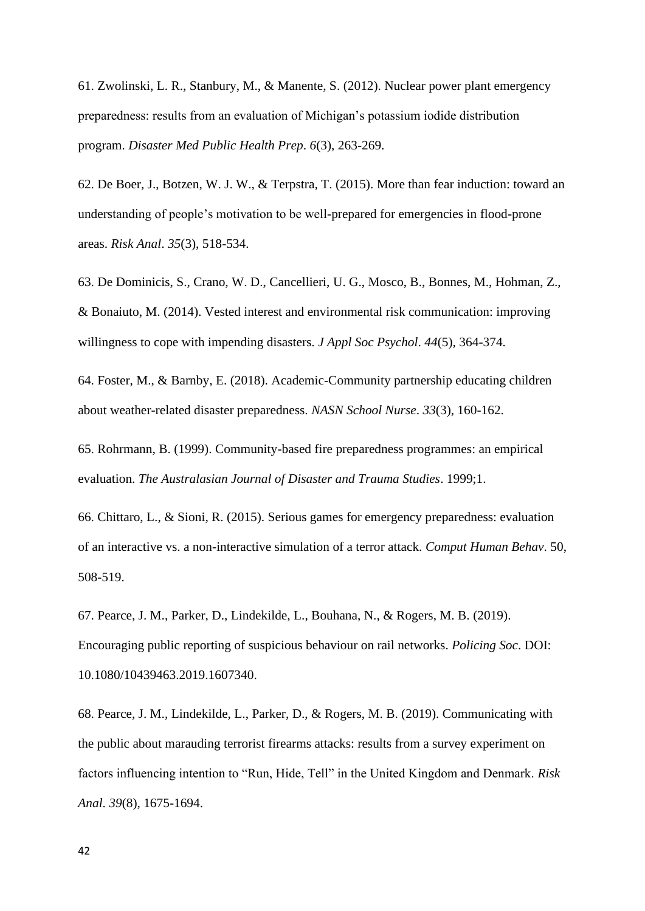61. Zwolinski, L. R., Stanbury, M., & Manente, S. (2012). Nuclear power plant emergency preparedness: results from an evaluation of Michigan's potassium iodide distribution program. *Disaster Med Public Health Prep*. *6*(3), 263-269.

62. De Boer, J., Botzen, W. J. W., & Terpstra, T. (2015). More than fear induction: toward an understanding of people's motivation to be well-prepared for emergencies in flood-prone areas. *Risk Anal*. *35*(3), 518-534.

63. De Dominicis, S., Crano, W. D., Cancellieri, U. G., Mosco, B., Bonnes, M., Hohman, Z., & Bonaiuto, M. (2014). Vested interest and environmental risk communication: improving willingness to cope with impending disasters. *J Appl Soc Psychol*. *44*(5), 364-374.

64. Foster, M., & Barnby, E. (2018). Academic-Community partnership educating children about weather-related disaster preparedness. *NASN School Nurse*. *33*(3), 160-162.

65. Rohrmann, B. (1999). Community-based fire preparedness programmes: an empirical evaluation. *The Australasian Journal of Disaster and Trauma Studies*. 1999;1.

66. Chittaro, L., & Sioni, R. (2015). Serious games for emergency preparedness: evaluation of an interactive vs. a non-interactive simulation of a terror attack. *Comput Human Behav*. 50, 508-519.

67. Pearce, J. M., Parker, D., Lindekilde, L., Bouhana, N., & Rogers, M. B. (2019). Encouraging public reporting of suspicious behaviour on rail networks. *Policing Soc*. DOI: 10.1080/10439463.2019.1607340.

68. Pearce, J. M., Lindekilde, L., Parker, D., & Rogers, M. B. (2019). Communicating with the public about marauding terrorist firearms attacks: results from a survey experiment on factors influencing intention to "Run, Hide, Tell" in the United Kingdom and Denmark. *Risk Anal*. *39*(8), 1675-1694.